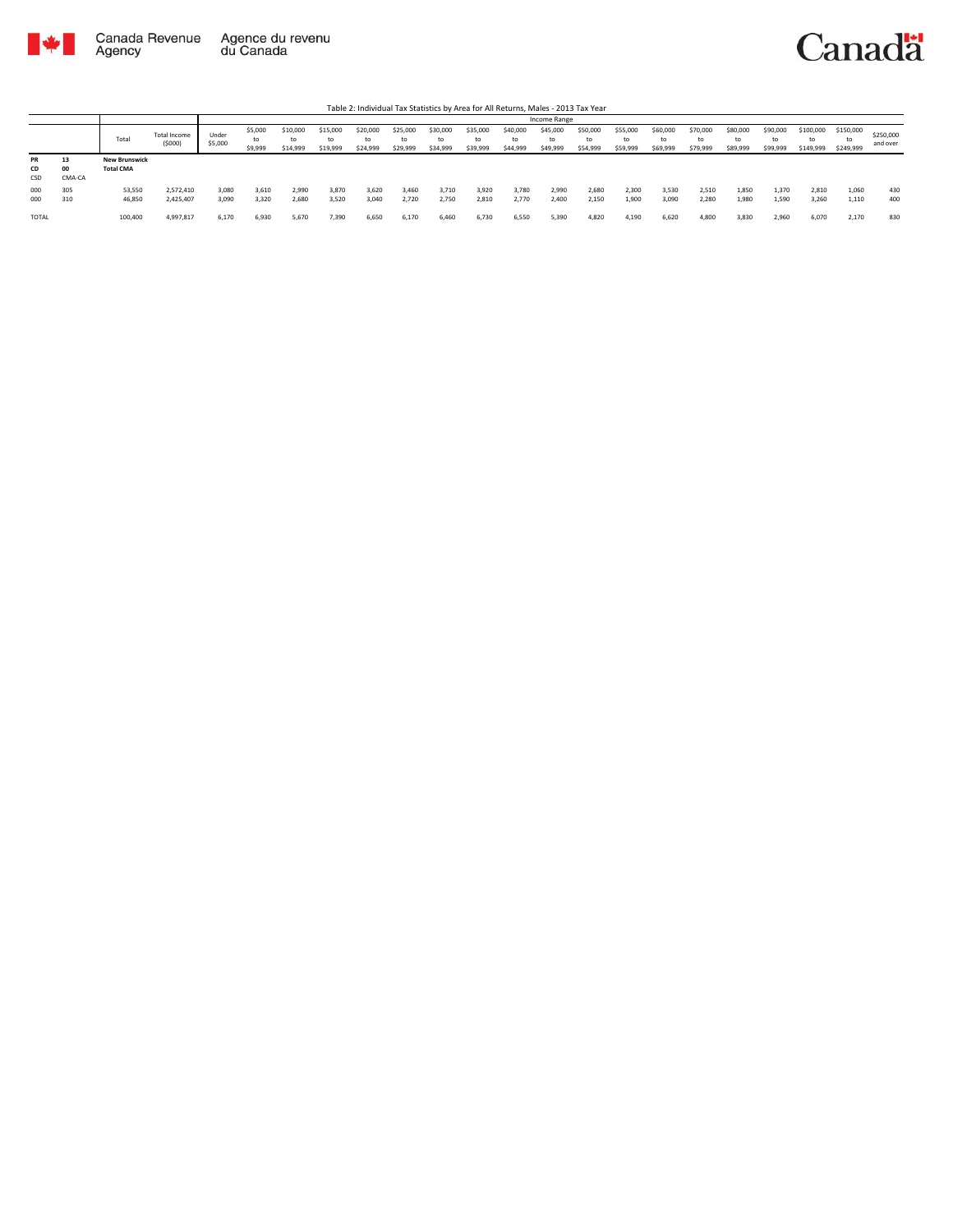

|                        |                    |                                          |                        |                  |                          |                            |                            |                            |                            |                            |                            |                            | Income Range               |                            |                            |                            |                            |                            |                            |                              |                              |                       |
|------------------------|--------------------|------------------------------------------|------------------------|------------------|--------------------------|----------------------------|----------------------------|----------------------------|----------------------------|----------------------------|----------------------------|----------------------------|----------------------------|----------------------------|----------------------------|----------------------------|----------------------------|----------------------------|----------------------------|------------------------------|------------------------------|-----------------------|
|                        |                    | Total                                    | Total Income<br>(5000) | Under<br>\$5,000 | \$5,000<br>to<br>\$9,999 | \$10,000<br>to<br>\$14,999 | \$15,000<br>to<br>\$19,999 | \$20,000<br>to<br>\$24,999 | \$25,000<br>to<br>\$29,999 | \$30,000<br>to<br>\$34,999 | \$35,000<br>to<br>\$39,999 | \$40,000<br>to<br>\$44,999 | \$45,000<br>to<br>\$49,999 | \$50,000<br>to<br>\$54,999 | \$55,000<br>to<br>\$59,999 | \$60,000<br>to<br>\$69,999 | \$70,000<br>to<br>\$79,999 | \$80,000<br>to<br>\$89,999 | \$90,000<br>to<br>\$99,999 | \$100,000<br>to<br>\$149,999 | \$150,000<br>to<br>\$249,999 | \$250,000<br>and over |
| <b>PR</b><br>CD<br>CSD | 13<br>00<br>CMA-CA | <b>New Brunswick</b><br><b>Total CMA</b> |                        |                  |                          |                            |                            |                            |                            |                            |                            |                            |                            |                            |                            |                            |                            |                            |                            |                              |                              |                       |
| 000<br>000             | 305<br>310         | 53,550<br>46,850                         | 2.572.410<br>2,425,407 | 3,080<br>3.090   | 3,610<br>3.320           | 2.990<br>2,680             | 3,870<br>3,520             | 3,620<br>3.040             | 3,460<br>2.720             | 3.710<br>2.750             | 3,920<br>2.810             | 3,780<br>2.770             | 2.990<br>2,400             | 2,680<br>2,150             | 2.300<br>1.900             | 3,530<br>3,090             | 2.510<br>2.280             | 1,850<br>1.980             | 1.370<br>1,590             | 2.810<br>3.260               | 1,060<br>1,110               | 430<br>400            |
| TOTAL                  |                    | 100,400                                  | 4,997,817              | 6.170            | 6,930                    | 5.670                      | 7,390                      | 6.650                      | 6,170                      | 6.460                      | 6.730                      | 6,550                      | 5.390                      | 4,820                      | 4.190                      | 6,620                      | 4.800                      | 3.830                      | 2,960                      | 6.070                        | 2,170                        | 830                   |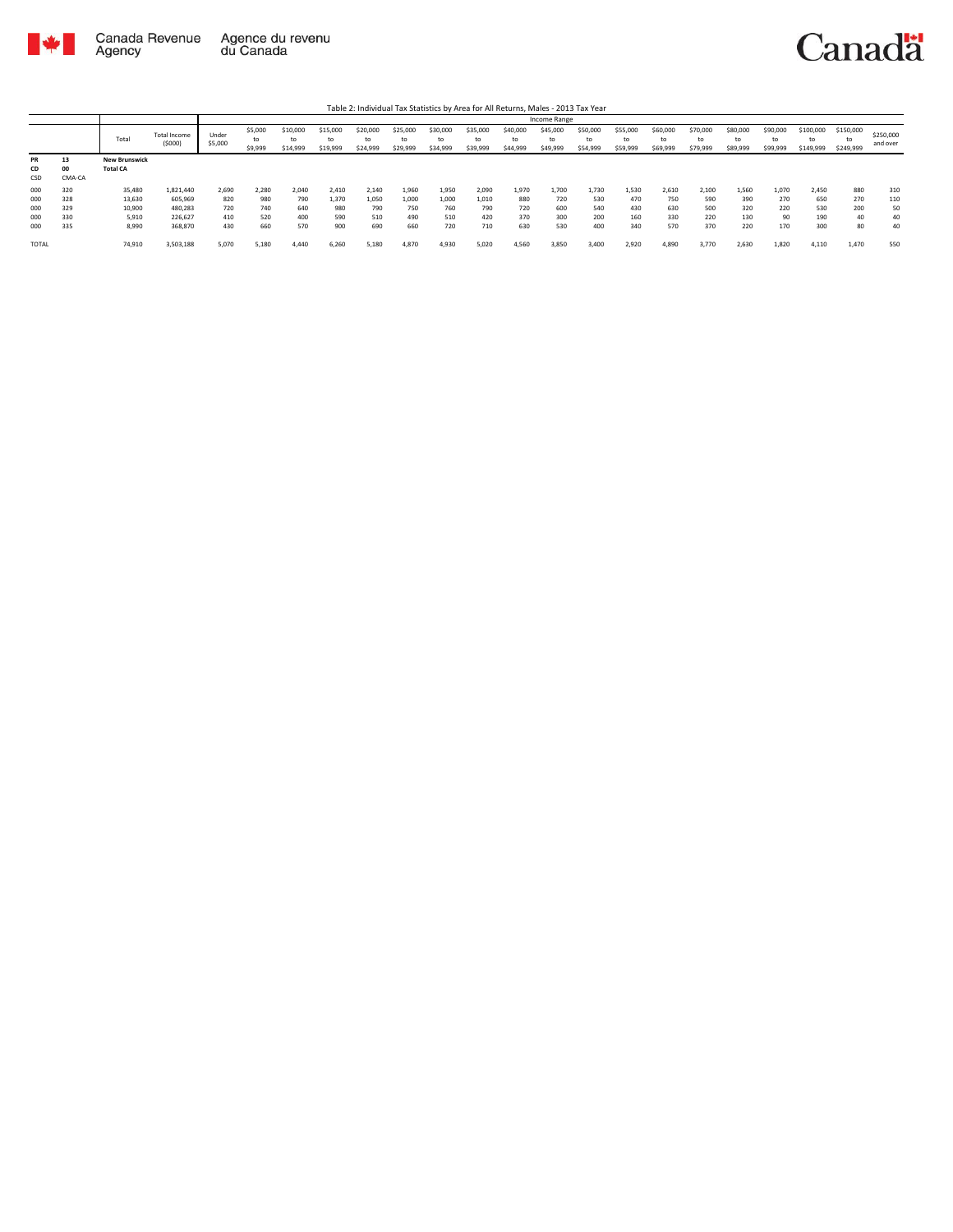

|           |        |                      |                        |                  |                          |                            |                            |                      |                            |                            |                            |                            | Income Range               |                            |                            |                            |                            |                            |                            |                              |                        |                       |
|-----------|--------|----------------------|------------------------|------------------|--------------------------|----------------------------|----------------------------|----------------------|----------------------------|----------------------------|----------------------------|----------------------------|----------------------------|----------------------------|----------------------------|----------------------------|----------------------------|----------------------------|----------------------------|------------------------------|------------------------|-----------------------|
|           |        | Total                | Total Income<br>(5000) | Under<br>\$5,000 | \$5,000<br>to<br>\$9,999 | \$10,000<br>to<br>\$14,999 | \$15,000<br>to<br>\$19,999 | \$20,000<br>\$24,999 | \$25,000<br>to<br>\$29,999 | \$30,000<br>to<br>\$34,999 | \$35,000<br>to<br>\$39,999 | \$40,000<br>to<br>\$44,999 | \$45,000<br>to<br>\$49,999 | \$50,000<br>to<br>\$54,999 | \$55,000<br>to<br>\$59,999 | \$60,000<br>to<br>\$69,999 | \$70,000<br>to<br>\$79,999 | \$80,000<br>to<br>\$89,999 | \$90,000<br>to<br>\$99,999 | \$100,000<br>to<br>\$149,999 | \$150,000<br>\$249,999 | \$250,000<br>and over |
| <b>PR</b> | 13     | <b>New Brunswick</b> |                        |                  |                          |                            |                            |                      |                            |                            |                            |                            |                            |                            |                            |                            |                            |                            |                            |                              |                        |                       |
| CD        | 00     | <b>Total CA</b>      |                        |                  |                          |                            |                            |                      |                            |                            |                            |                            |                            |                            |                            |                            |                            |                            |                            |                              |                        |                       |
| CSD       | CMA-CA |                      |                        |                  |                          |                            |                            |                      |                            |                            |                            |                            |                            |                            |                            |                            |                            |                            |                            |                              |                        |                       |
| 000       | 320    | 35,480               | 1,821,440              | 2,690            | 2,280                    | 2.040                      | 2.410                      | 2,140                | 1,960                      | 1,950                      | 2,090                      | 1,970                      | 1.700                      | 1.730                      | 1,530                      | 2,610                      | 2.100                      | 1.560                      | 1,070                      | 2,450                        | 880                    | 310                   |
| 000       | 328    | 13,630               | 605,969                | 820              | 980                      | 790                        | 1.370                      | 1.050                | 1.000                      | 1.000                      | 1.010                      | 880                        | 720                        | 530                        | 470                        | 750                        | 590                        | 390                        | 270                        | 650                          | 270                    | 110                   |
| 000       | 329    | 10,900               | 480.283                | 720              | 740                      | 640                        | 980                        | 790                  | 750                        | 760                        | 790                        | 720                        | 600                        | 540                        | 430                        | 630                        | 500                        | 320                        | 220                        | 530                          | 200                    | 50                    |
| 000       | 330    | 5,910                | 226,627                | 410              | 520                      | 400                        | 590                        | 510                  | 490                        | 510                        | 420                        | 370                        | 300                        | 200                        | 160                        | 330                        | 220                        | 130                        | 90                         | 190                          | 40                     | 40                    |
| 000       | 335    | 8,990                | 368,870                | 430              | 660                      | 570                        | 900                        | 690                  | 660                        | 720                        | 710                        | 630                        | 530                        | 400                        | 340                        | 570                        | 370                        | 220                        | 170                        | 300                          | 80                     | 40                    |
| TOTAL     |        | 74,910               | 3,503,188              | 5,070            | 5,180                    | 4.440                      | 6,260                      | 5,180                | 4,870                      | 4,930                      | 5,020                      | 4,560                      | 3,850                      | 3,400                      | 2,920                      | 4,890                      | 3,770                      | 2,630                      | 1,820                      | 4,110                        | 1,470                  | 550                   |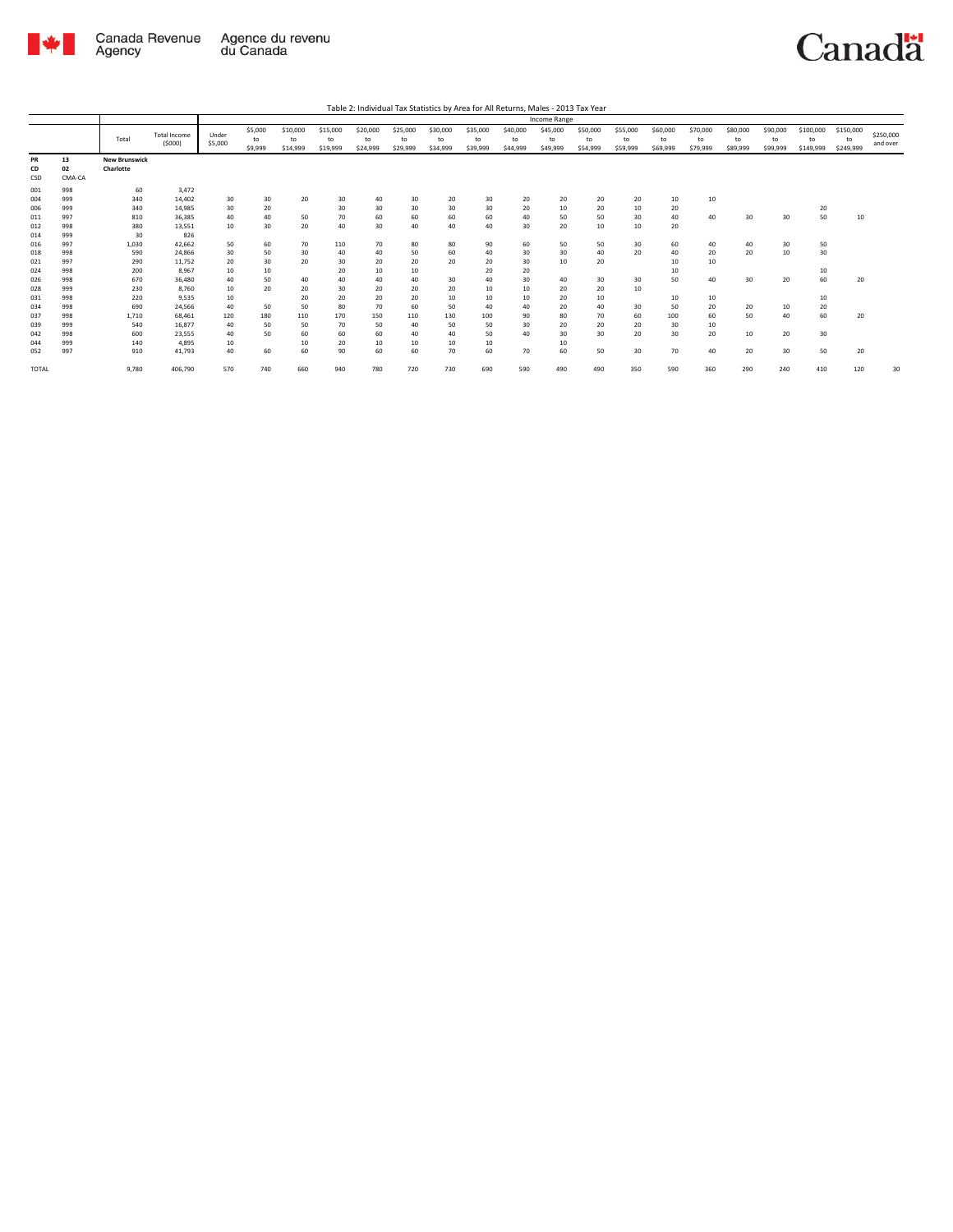

|              |        |                      |                               |                  |                          |                            |                            |                            |                            |                            |                            |                            | Income Range               |                            |                            |                            |                            |                            |                            |                              |                              |                       |
|--------------|--------|----------------------|-------------------------------|------------------|--------------------------|----------------------------|----------------------------|----------------------------|----------------------------|----------------------------|----------------------------|----------------------------|----------------------------|----------------------------|----------------------------|----------------------------|----------------------------|----------------------------|----------------------------|------------------------------|------------------------------|-----------------------|
|              |        | Total                | <b>Total Income</b><br>(5000) | Under<br>\$5,000 | \$5,000<br>to<br>\$9,999 | \$10,000<br>to<br>\$14,999 | \$15,000<br>to<br>\$19,999 | \$20,000<br>to<br>\$24,999 | \$25,000<br>to<br>\$29,999 | \$30,000<br>to<br>\$34,999 | \$35,000<br>to<br>\$39,999 | \$40,000<br>to<br>\$44,999 | \$45,000<br>to<br>\$49,999 | \$50,000<br>to<br>\$54,999 | \$55,000<br>to<br>\$59,999 | \$60,000<br>to<br>\$69,999 | \$70,000<br>to<br>\$79,999 | \$80,000<br>to<br>\$89,999 | \$90,000<br>to<br>\$99,999 | \$100,000<br>to<br>\$149,999 | \$150,000<br>to<br>\$249,999 | \$250,000<br>and over |
| <b>PR</b>    | 13     | <b>New Brunswick</b> |                               |                  |                          |                            |                            |                            |                            |                            |                            |                            |                            |                            |                            |                            |                            |                            |                            |                              |                              |                       |
| CD           | 02     | Charlotte            |                               |                  |                          |                            |                            |                            |                            |                            |                            |                            |                            |                            |                            |                            |                            |                            |                            |                              |                              |                       |
| CSD          | CMA-CA |                      |                               |                  |                          |                            |                            |                            |                            |                            |                            |                            |                            |                            |                            |                            |                            |                            |                            |                              |                              |                       |
| 001          | 998    | 60                   | 3,472                         |                  |                          |                            |                            |                            |                            |                            |                            |                            |                            |                            |                            |                            |                            |                            |                            |                              |                              |                       |
| 004          | 999    | 340                  | 14.402                        | 30               | 30                       | 20                         | 30                         | 40                         | 30                         | 20                         | 30                         | 20                         | 20                         | 20                         | 20                         | 10                         | 10                         |                            |                            |                              |                              |                       |
| 006          | 999    | 340                  | 14.985                        | 30               | 20                       |                            | 30                         | 30                         | 30                         | 30                         | 30                         | 20                         | 10                         | 20                         | 10                         | 20                         |                            |                            |                            | 20                           |                              |                       |
| 011          | 997    | 810                  | 36.385                        | 40               | 40                       | 50                         | 70                         | 60                         | 60                         | 60                         | 60                         | 40                         | 50                         | 50                         | 30                         | 40                         | 40                         | 30                         | 30                         | 50                           | 10                           |                       |
| 012          | 998    | 380                  | 13,551                        | 10               | 30                       | 20                         | 40                         | 30                         | 40                         | 40                         | 40                         | 30                         | 20                         | 10                         | 10                         | 20                         |                            |                            |                            |                              |                              |                       |
| 014          | 999    | 30                   | 826                           |                  |                          |                            |                            |                            |                            |                            |                            |                            |                            |                            |                            |                            |                            |                            |                            |                              |                              |                       |
| 016          | 997    | 1.030                | 42.662                        | 50               | 60                       | 70                         | 110                        | 70                         | 80                         | 80                         | 90                         | 60                         | 50                         | 50                         | 30                         | 60                         | 40                         | 40                         | 30                         | 50                           |                              |                       |
| 018          | 998    | 590                  | 24.866                        | 30               | 50                       | 30                         | 40                         | 40                         | 50                         | 60                         | 40                         | 30                         | 30                         | 40                         | 20                         | 40                         | 20                         | 20                         | 10                         | 30                           |                              |                       |
| 021          | 997    | 290                  | 11,752                        | 20               | 30                       | 20                         | 30                         | 20                         | 20                         | 20                         | 20                         | 30                         | 10                         | 20                         |                            | 10                         | 10                         |                            |                            |                              |                              |                       |
| 024          | 998    | 200                  | 8.967                         | 10               | 10                       |                            | 20                         | 10                         | 10                         |                            | 20                         | 20                         |                            |                            |                            | 10                         |                            |                            |                            | 10                           |                              |                       |
| 026          | 998    | 670                  | 36,480                        | 40               | 50                       | 40                         | 40                         | 40                         | 40                         | 30                         | 40                         | 30                         | 40                         | 30                         | 30                         | 50                         | 40                         | 30                         | 20                         | 60                           | 20                           |                       |
| 028          | 999    | 230                  | 8.760                         | 10               | 20                       | 20                         | 30                         | 20                         | 20                         | 20                         | 10                         | 10                         | 20                         | 20                         | 10                         |                            |                            |                            |                            |                              |                              |                       |
| 031          | 998    | 220                  | 9.535                         | 10               |                          | 20                         | 20                         | 20                         | 20                         | 10                         | 10                         | 10                         | 20                         | 10                         |                            | 10                         | 10                         |                            |                            | 10                           |                              |                       |
| 034          | 998    | 690                  | 24.566                        | 40               | 50                       | 50                         | 80                         | 70                         | 60                         | 50                         | 40                         | 40                         | 20                         | 40                         | 30                         | 50                         | 20                         | 20                         | 10                         | 20                           |                              |                       |
| 037          | 998    | 1.710                | 68.461                        | 120              | 180                      | 110                        | 170                        | 150                        | 110                        | 130                        | 100                        | 90                         | 80                         | 70                         | 60                         | 100                        | 60                         | 50                         | 40                         | 60                           | 20                           |                       |
| 039          | 999    | 540                  | 16.877                        | 40               | 50                       | 50                         | 70                         | 50                         | 40                         | 50                         | 50                         | 30                         | 20                         | 20                         | 20                         | 30                         | 10                         |                            |                            |                              |                              |                       |
| 042          | 998    | 600                  | 23.555                        | 40               | 50                       | 60                         | 60                         | 60                         | 40                         | 40                         | 50                         | 40                         | 30                         | 30                         | 20                         | 30                         | 20                         | 10                         | 20                         | 30                           |                              |                       |
| 044          | 999    | 140                  | 4.895                         | 10               |                          | 10                         | 20                         | 10                         | 10                         | 10                         | 10                         |                            | 10                         |                            |                            |                            |                            |                            |                            |                              |                              |                       |
| 052          | 997    | 910                  | 41,793                        | 40               | 60                       | 60                         | 90                         | 60                         | 60                         | 70                         | 60                         | 70                         | 60                         | 50                         | 30                         | 70                         | 40                         | 20                         | 30                         | 50                           | 20                           |                       |
| <b>TOTAL</b> |        | 9,780                | 406,790                       | 570              | 740                      | 660                        | 940                        | 780                        | 720                        | 730                        | 690                        | 590                        | 490                        | 490                        | 350                        | 590                        | 360                        | 290                        | 240                        | 410                          | 120                          | 30                    |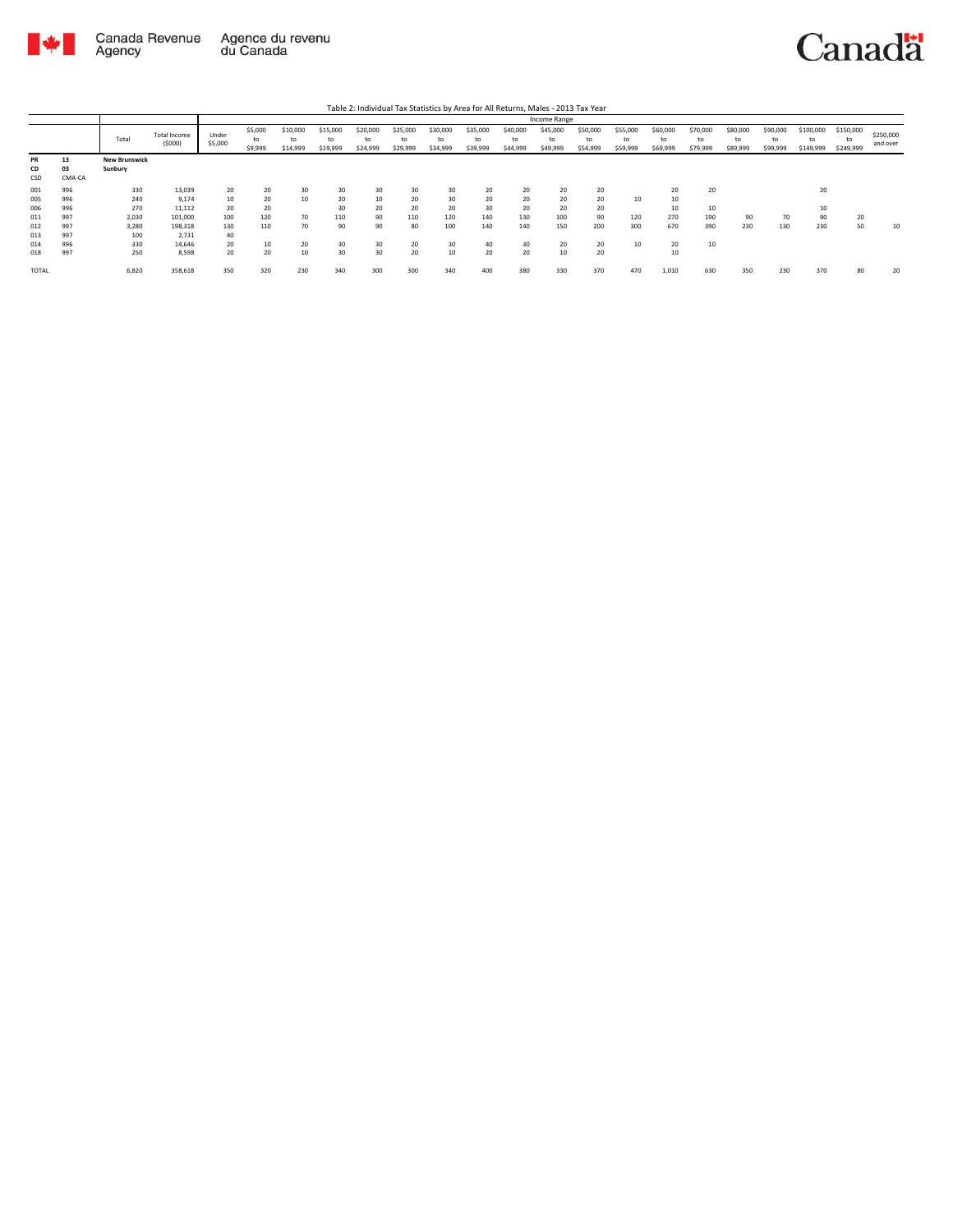

|                        |                    |                                 |                               |                  |                          |                            |                            |                            |                            |                      |                            |                            | Income Range               |                            |                            |                            |                            |                            |                            |                              |                              |                       |
|------------------------|--------------------|---------------------------------|-------------------------------|------------------|--------------------------|----------------------------|----------------------------|----------------------------|----------------------------|----------------------|----------------------------|----------------------------|----------------------------|----------------------------|----------------------------|----------------------------|----------------------------|----------------------------|----------------------------|------------------------------|------------------------------|-----------------------|
|                        |                    | Total                           | <b>Total Income</b><br>(5000) | Under<br>\$5,000 | \$5,000<br>to<br>\$9,999 | \$10,000<br>to<br>\$14,999 | \$15,000<br>to<br>\$19,999 | \$20,000<br>to<br>\$24,999 | \$25,000<br>to<br>\$29,999 | \$30,000<br>\$34,999 | \$35,000<br>to<br>\$39,999 | \$40,000<br>to<br>\$44,999 | \$45,000<br>to<br>\$49,999 | \$50,000<br>to<br>\$54,999 | \$55,000<br>to<br>\$59,999 | \$60,000<br>to<br>\$69,999 | \$70,000<br>to<br>\$79,999 | \$80,000<br>to<br>\$89,999 | \$90,000<br>to<br>\$99,999 | \$100,000<br>to<br>\$149,999 | \$150,000<br>to<br>\$249,999 | \$250,000<br>and over |
| <b>PR</b><br>CD<br>CSD | 13<br>03<br>CMA-CA | <b>New Brunswick</b><br>Sunbury |                               |                  |                          |                            |                            |                            |                            |                      |                            |                            |                            |                            |                            |                            |                            |                            |                            |                              |                              |                       |
| 001                    | 996                | 330                             | 13,039                        | 20               | 20                       | 30                         | 30                         | 30                         | 30                         | 30                   | 20                         | 20                         | 20                         | 20                         |                            | 20                         | 20                         |                            |                            | 20                           |                              |                       |
| 005                    | 996                | 240                             | 9.174                         | 10               | 20                       | 10                         | 20                         | 10                         | 20                         | 30                   | 20                         | 20                         | 20                         | 20                         | 10                         | 10                         |                            |                            |                            |                              |                              |                       |
| 006                    | 996                | 270                             | 11,112                        | 20               | 20                       |                            | 30                         | 20                         | 20                         | 20                   | 30                         | 20                         | 20                         | 20                         |                            | 10                         | 10                         |                            |                            | 10                           |                              |                       |
| 011                    | 997                | 2,030                           | 101,000                       | 100              | 120                      | 70                         | 110                        | 90                         | 110                        | 120                  | 140                        | 130                        | 100                        | 90                         | 120                        | 270                        | 190                        | 90                         | 70                         | 90                           | 20                           |                       |
| 012                    | 997                | 3,280                           | 198,318                       | 130              | 110                      | 70                         | 90                         | 90                         | 80                         | 100                  | 140                        | 140                        | 150                        | 200                        | 300                        | 670                        | 390                        | 230                        | 130                        | 230                          | 50                           | 10                    |
| 013                    | 997                | 100                             | 2.731                         | 40               |                          |                            |                            |                            |                            |                      |                            |                            |                            |                            |                            |                            |                            |                            |                            |                              |                              |                       |
| 014                    | 996                | 330                             | 14.646                        | 20               | 10                       | 20                         | 30                         | 30                         | 20                         | 30                   | 40                         | 30                         | 20                         | 20                         | 10                         | 20                         | 10                         |                            |                            |                              |                              |                       |
| 018                    | 997                | 250                             | 8.598                         | 20               | 20                       | 10                         | 30                         | 30                         | 20                         | 10                   | 20                         | 20                         | 10                         | 20                         |                            | 10                         |                            |                            |                            |                              |                              |                       |
| <b>TOTAL</b>           |                    | 6,820                           | 358,618                       | 350              | 320                      | 230                        | 340                        | 300                        | 300                        | 340                  | 400                        | 380                        | 330                        | 370                        | 470                        | 1,010                      | 630                        | 350                        | 230                        | 370                          | 80                           | 20                    |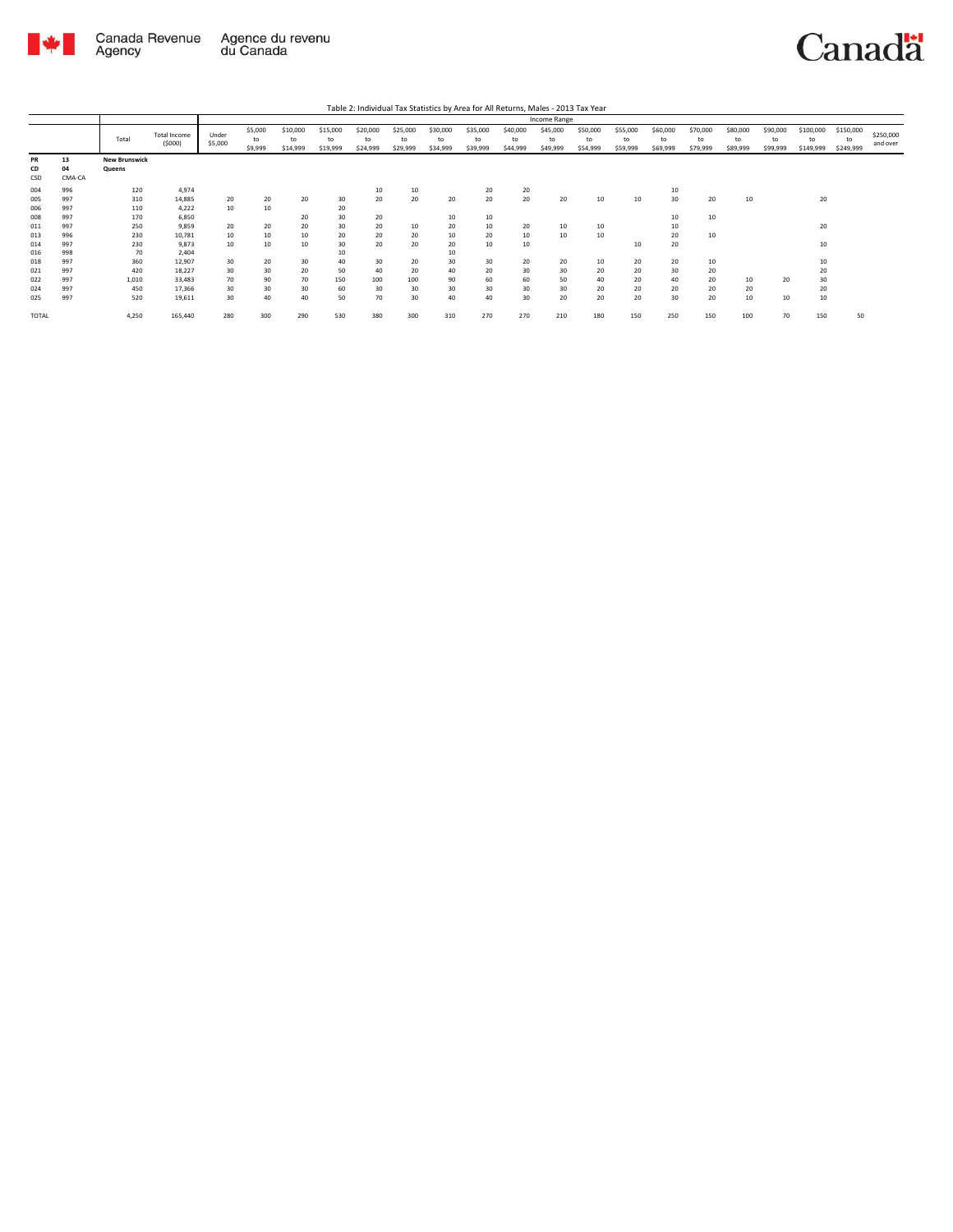

|                                        |                                        |                                         |                                                         |                            |                            |                            |                                   |                             |                             |                                  |                            |                            | Income Range               |                            |                            |                            |                            |                            |                            |                              |                              |                       |
|----------------------------------------|----------------------------------------|-----------------------------------------|---------------------------------------------------------|----------------------------|----------------------------|----------------------------|-----------------------------------|-----------------------------|-----------------------------|----------------------------------|----------------------------|----------------------------|----------------------------|----------------------------|----------------------------|----------------------------|----------------------------|----------------------------|----------------------------|------------------------------|------------------------------|-----------------------|
|                                        |                                        | Total                                   | <b>Total Income</b><br>(5000)                           | Under<br>\$5,000           | \$5,000<br>to<br>\$9,999   | \$10,000<br>to<br>\$14,999 | \$15,000<br>to<br>\$19,999        | \$20,000<br>to<br>\$24,999  | \$25,000<br>to<br>\$29,999  | \$30,000<br>to<br>\$34,999       | \$35,000<br>to<br>\$39,999 | \$40,000<br>to<br>\$44,999 | \$45,000<br>to<br>\$49,999 | \$50,000<br>to<br>\$54,999 | \$55,000<br>to<br>\$59,999 | \$60,000<br>to<br>\$69,999 | \$70,000<br>to<br>\$79,999 | \$80,000<br>to<br>\$89,999 | \$90,000<br>to<br>\$99,999 | \$100,000<br>to<br>\$149,999 | \$150,000<br>to<br>\$249,999 | \$250,000<br>and over |
| PR<br>CD<br>CSD                        | 13<br>04<br>CMA-CA                     | <b>New Brunswick</b><br>Queens          |                                                         |                            |                            |                            |                                   |                             |                             |                                  |                            |                            |                            |                            |                            |                            |                            |                            |                            |                              |                              |                       |
| 004<br>005<br>006<br>008               | 996<br>997<br>997<br>997               | 120<br>310<br>110<br>170                | 4,974<br>14,885<br>4,222<br>6,850                       | 20<br>10                   | 20<br>10                   | 20<br>20                   | 30<br>20<br>30                    | 10<br>20<br>20              | 10<br>20                    | 20<br>10                         | 20<br>20<br>10             | 20<br>20                   | 20                         | 10                         | 10                         | 10<br>30<br>10             | 20<br>10                   | 10                         |                            | 20                           |                              |                       |
| 011<br>013<br>014                      | 997<br>996<br>997                      | 250<br>230<br>230                       | 9,859<br>10,781<br>9,873                                | 20<br>10<br>10             | 20<br>10<br>10             | 20<br>10<br>10             | 30<br>20<br>30                    | 20<br>20<br>20              | 10<br>20<br>20              | 20<br>10<br>20                   | 10<br>20<br>10             | 20<br>10<br>10             | 10<br>10                   | 10<br>10                   | 10                         | 10<br>20<br>20             | 10                         |                            |                            | 20<br>10                     |                              |                       |
| 016<br>018<br>021<br>022<br>024<br>025 | 998<br>997<br>997<br>997<br>997<br>997 | 70<br>360<br>420<br>1,010<br>450<br>520 | 2,404<br>12,907<br>18,227<br>33,483<br>17,366<br>19,611 | 30<br>30<br>70<br>30<br>30 | 20<br>30<br>90<br>30<br>40 | 30<br>20<br>70<br>30<br>40 | 10<br>40<br>50<br>150<br>60<br>50 | 30<br>40<br>100<br>30<br>70 | 20<br>20<br>100<br>30<br>30 | 10<br>30<br>40<br>90<br>30<br>40 | 30<br>20<br>60<br>30<br>40 | 20<br>30<br>60<br>30<br>30 | 20<br>30<br>50<br>30<br>20 | 10<br>20<br>40<br>20<br>20 | 20<br>20<br>20<br>20<br>20 | 20<br>30<br>40<br>20<br>30 | 10<br>20<br>20<br>20<br>20 | 10<br>20<br>10             | 20<br>10                   | 10<br>20<br>30<br>20<br>10   |                              |                       |
| TOTAL                                  |                                        | 4,250                                   | 165,440                                                 | 280                        | 300                        | 290                        | 530                               | 380                         | 300                         | 310                              | 270                        | 270                        | 210                        | 180                        | 150                        | 250                        | 150                        | 100                        | 70                         | 150                          | 50                           |                       |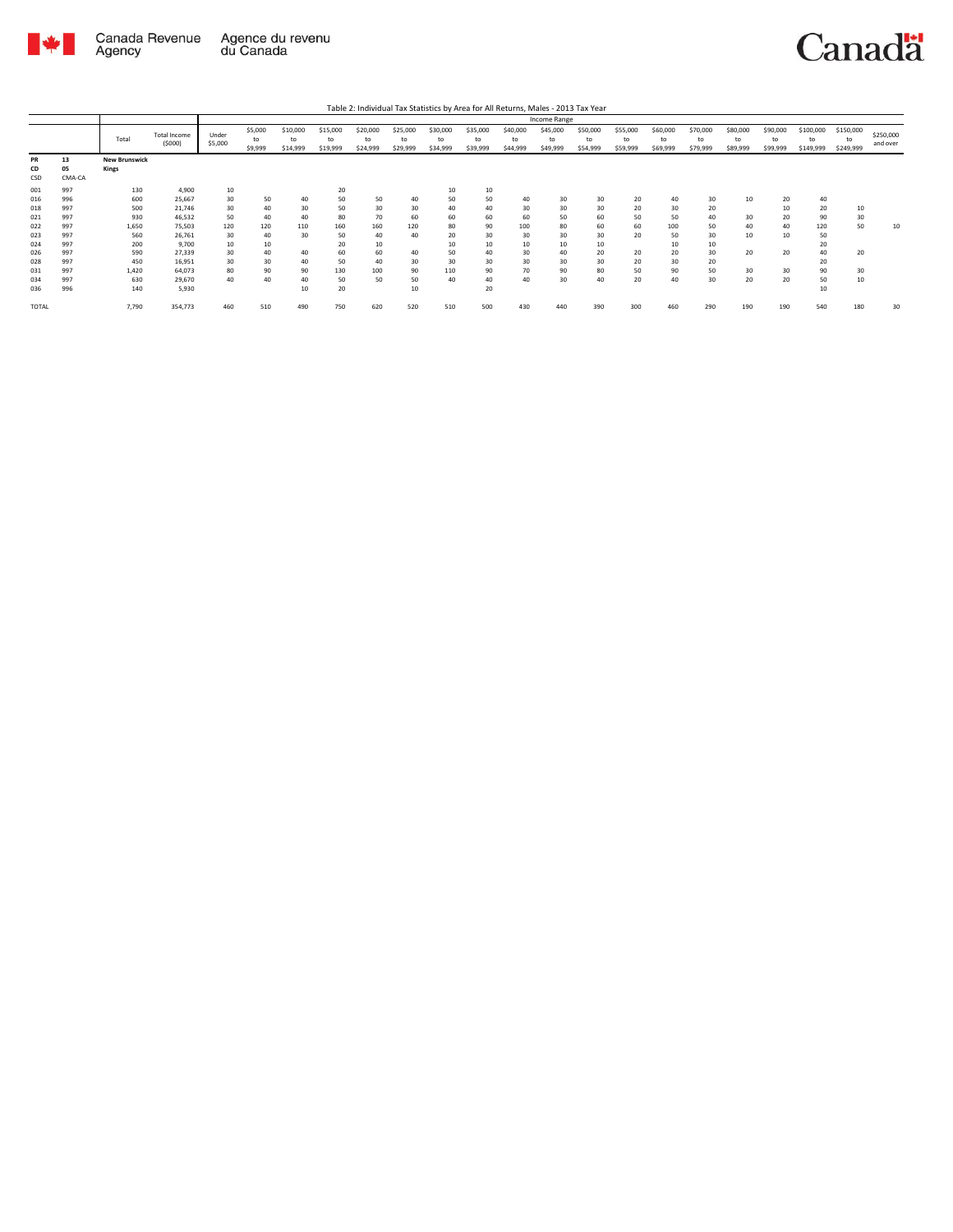

|                                 |                                 |                                   |                                               |                            |                            |                            |                             |                             |                            |                             |                            |                            | Income Range               |                            |                            |                            |                            |                            |                            |                              |                              |                       |
|---------------------------------|---------------------------------|-----------------------------------|-----------------------------------------------|----------------------------|----------------------------|----------------------------|-----------------------------|-----------------------------|----------------------------|-----------------------------|----------------------------|----------------------------|----------------------------|----------------------------|----------------------------|----------------------------|----------------------------|----------------------------|----------------------------|------------------------------|------------------------------|-----------------------|
|                                 |                                 | Total                             | Total Income<br>(5000)                        | Under<br>\$5,000           | \$5,000<br>to<br>\$9,999   | \$10,000<br>to<br>\$14,999 | \$15,000<br>to<br>\$19,999  | \$20,000<br>to<br>\$24,999  | \$25,000<br>to<br>\$29,999 | \$30,000<br>to<br>\$34,999  | \$35,000<br>to<br>\$39,999 | \$40,000<br>to<br>\$44,999 | \$45,000<br>to<br>\$49,999 | \$50,000<br>to<br>\$54,999 | \$55,000<br>to<br>\$59,999 | \$60,000<br>to<br>\$69,999 | \$70,000<br>to<br>\$79,999 | \$80,000<br>to<br>\$89,999 | \$90,000<br>to<br>\$99,999 | \$100,000<br>to<br>\$149,999 | \$150,000<br>to<br>\$249,999 | \$250,000<br>and over |
| <b>PR</b><br>CD<br>CSD          | 13<br>05<br>CMA-CA              | <b>New Brunswick</b><br>Kings     |                                               |                            |                            |                            |                             |                             |                            |                             |                            |                            |                            |                            |                            |                            |                            |                            |                            |                              |                              |                       |
| 001<br>016<br>018               | 997<br>996<br>997               | 130<br>600<br>500                 | 4.900<br>25,667<br>21,746                     | 10<br>30<br>30             | 50<br>40                   | 40<br>30                   | 20<br>50<br>50              | 50<br>30                    | 40<br>30                   | 10<br>50<br>40              | 10<br>50<br>40             | 40<br>30                   | 30<br>30                   | 30<br>30                   | 20<br>20                   | 40<br>30                   | 30<br>20                   | 10                         | 20<br>10                   | 40<br>20                     | 10                           |                       |
| 021<br>022<br>023               | 997<br>997<br>997               | 930<br>1,650<br>560               | 46,532<br>75,503<br>26,761                    | 50<br>120<br>30            | 40<br>120<br>40            | 40<br>110<br>30            | 80<br>160<br>50             | 70<br>160<br>40             | 60<br>120<br>40            | 60<br>80<br>20              | 60<br>90<br>30             | 60<br>100<br>30            | 50<br>80<br>30             | 60<br>60<br>30             | 50<br>60<br>20             | 50<br>100<br>50            | 40<br>50<br>30             | 30<br>40<br>10             | 20<br>40<br>10             | 90<br>120<br>50              | 30<br>50                     | 10                    |
| 024<br>026<br>028<br>031<br>034 | 997<br>997<br>997<br>997<br>997 | 200<br>590<br>450<br>1.420<br>630 | 9.700<br>27,339<br>16,951<br>64.073<br>29,670 | 10<br>30<br>30<br>80<br>40 | 10<br>40<br>30<br>90<br>40 | 40<br>40<br>90<br>40       | 20<br>60<br>50<br>130<br>50 | 10<br>60<br>40<br>100<br>50 | 40<br>30<br>90<br>50       | 10<br>50<br>30<br>110<br>40 | 10<br>40<br>30<br>90<br>40 | 10<br>30<br>30<br>70<br>40 | 10<br>40<br>30<br>90<br>30 | 10<br>20<br>30<br>80<br>40 | 20<br>20<br>50<br>20       | 10<br>20<br>30<br>90<br>40 | 10<br>30<br>20<br>50<br>30 | 20<br>30<br>20             | 20<br>30<br>20             | 20<br>40<br>20<br>90<br>50   | 20<br>30<br>10               |                       |
| 036<br><b>TOTAL</b>             | 996                             | 140<br>7,790                      | 5,930<br>354,773                              | 460                        | 510                        | 10<br>490                  | 20<br>750                   | 620                         | 10<br>520                  | 510                         | 20<br>500                  | 430                        | 440                        | 390                        | 300                        | 460                        | 290                        | 190                        | 190                        | 10<br>540                    | 180                          | 30                    |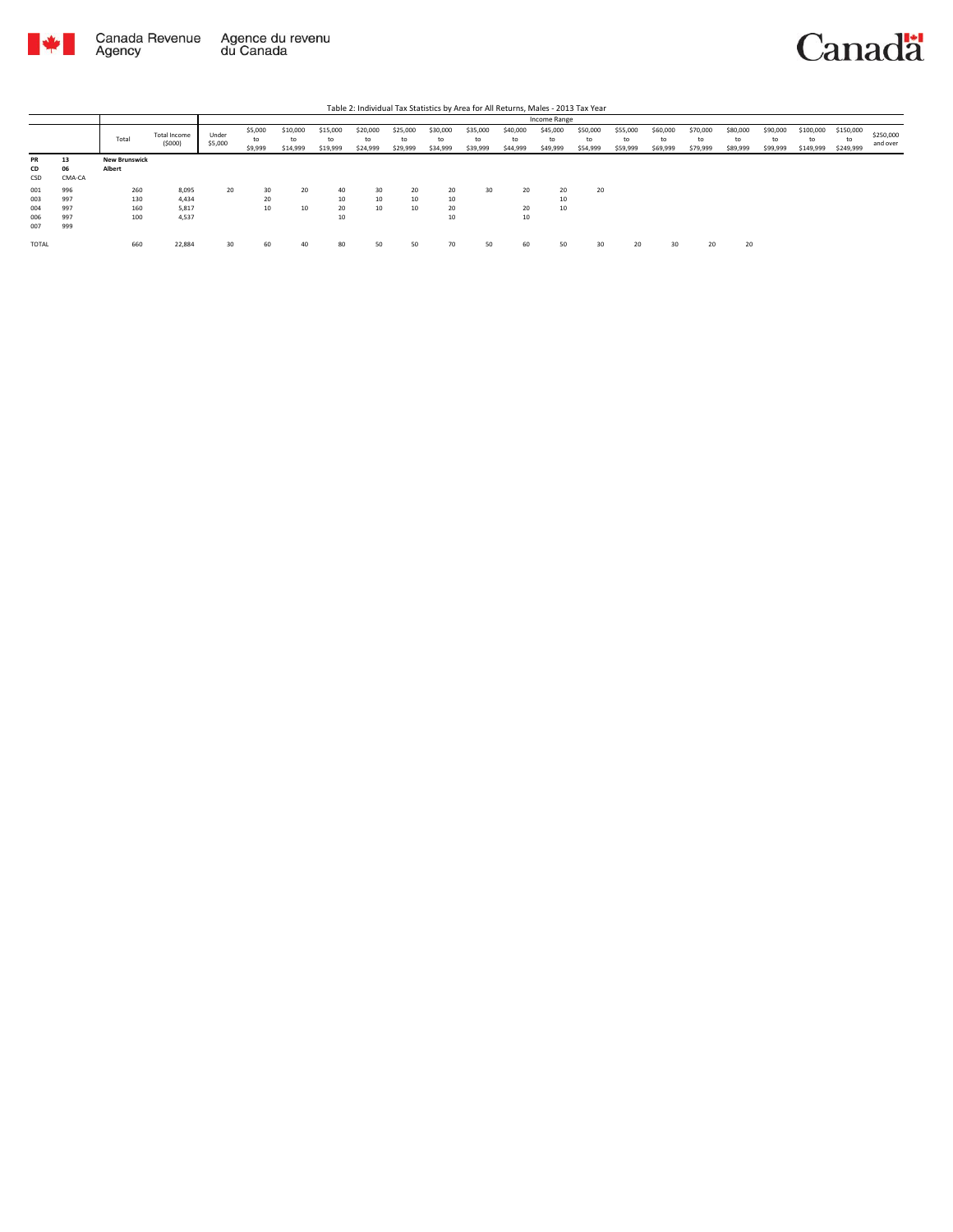

|       |        |                      |                        |                  |                          |                            |                            |                            |                            |                            |                            |                            | Income Range               |                            |                            |                            |                            |                            |                            |                              |                              |                       |
|-------|--------|----------------------|------------------------|------------------|--------------------------|----------------------------|----------------------------|----------------------------|----------------------------|----------------------------|----------------------------|----------------------------|----------------------------|----------------------------|----------------------------|----------------------------|----------------------------|----------------------------|----------------------------|------------------------------|------------------------------|-----------------------|
|       |        | Total                | Total Income<br>(5000) | Under<br>\$5,000 | \$5,000<br>to<br>\$9,999 | \$10,000<br>to<br>\$14,999 | \$15,000<br>to<br>\$19,999 | \$20,000<br>to<br>\$24,999 | \$25,000<br>to<br>\$29,999 | \$30,000<br>to<br>\$34,999 | \$35,000<br>to<br>\$39,999 | \$40,000<br>to<br>\$44,999 | \$45,000<br>to<br>\$49,999 | \$50,000<br>to<br>\$54,999 | \$55,000<br>to<br>\$59,999 | \$60,000<br>to<br>\$69,999 | \$70,000<br>to<br>\$79,999 | \$80,000<br>to<br>\$89,999 | \$90,000<br>to<br>\$99,999 | \$100,000<br>to<br>\$149,999 | \$150,000<br>to<br>\$249,999 | \$250,000<br>and over |
| PR    | 13     | <b>New Brunswick</b> |                        |                  |                          |                            |                            |                            |                            |                            |                            |                            |                            |                            |                            |                            |                            |                            |                            |                              |                              |                       |
| CD    | 06     | Albert               |                        |                  |                          |                            |                            |                            |                            |                            |                            |                            |                            |                            |                            |                            |                            |                            |                            |                              |                              |                       |
| CSD   | CMA-CA |                      |                        |                  |                          |                            |                            |                            |                            |                            |                            |                            |                            |                            |                            |                            |                            |                            |                            |                              |                              |                       |
| 001   | 996    | 260                  | 8,095                  | 20               | 30                       | 20                         | 40                         | 30                         | 20                         | 20                         | 30                         | 20                         | 20                         | 20                         |                            |                            |                            |                            |                            |                              |                              |                       |
| 003   | 997    | 130                  | 4,434                  |                  | 20                       |                            | 10                         | 10                         | 10                         | 10                         |                            |                            | 10                         |                            |                            |                            |                            |                            |                            |                              |                              |                       |
| 004   | 997    | 160                  | 5,817                  |                  | 10                       | 10                         | 20                         | 10                         | 10                         | 20                         |                            | 20                         | 10                         |                            |                            |                            |                            |                            |                            |                              |                              |                       |
| 006   | 997    | 100                  | 4,537                  |                  |                          |                            | 10                         |                            |                            | 10                         |                            | 10                         |                            |                            |                            |                            |                            |                            |                            |                              |                              |                       |
| 007   | 999    |                      |                        |                  |                          |                            |                            |                            |                            |                            |                            |                            |                            |                            |                            |                            |                            |                            |                            |                              |                              |                       |
| TOTAL |        | 660                  | 22,884                 | 30               | 60                       | 40                         | 80                         | 50                         | 50                         | 70                         | 50                         | 60                         | 50                         | 30                         | 20                         |                            | 20                         | 20                         |                            |                              |                              |                       |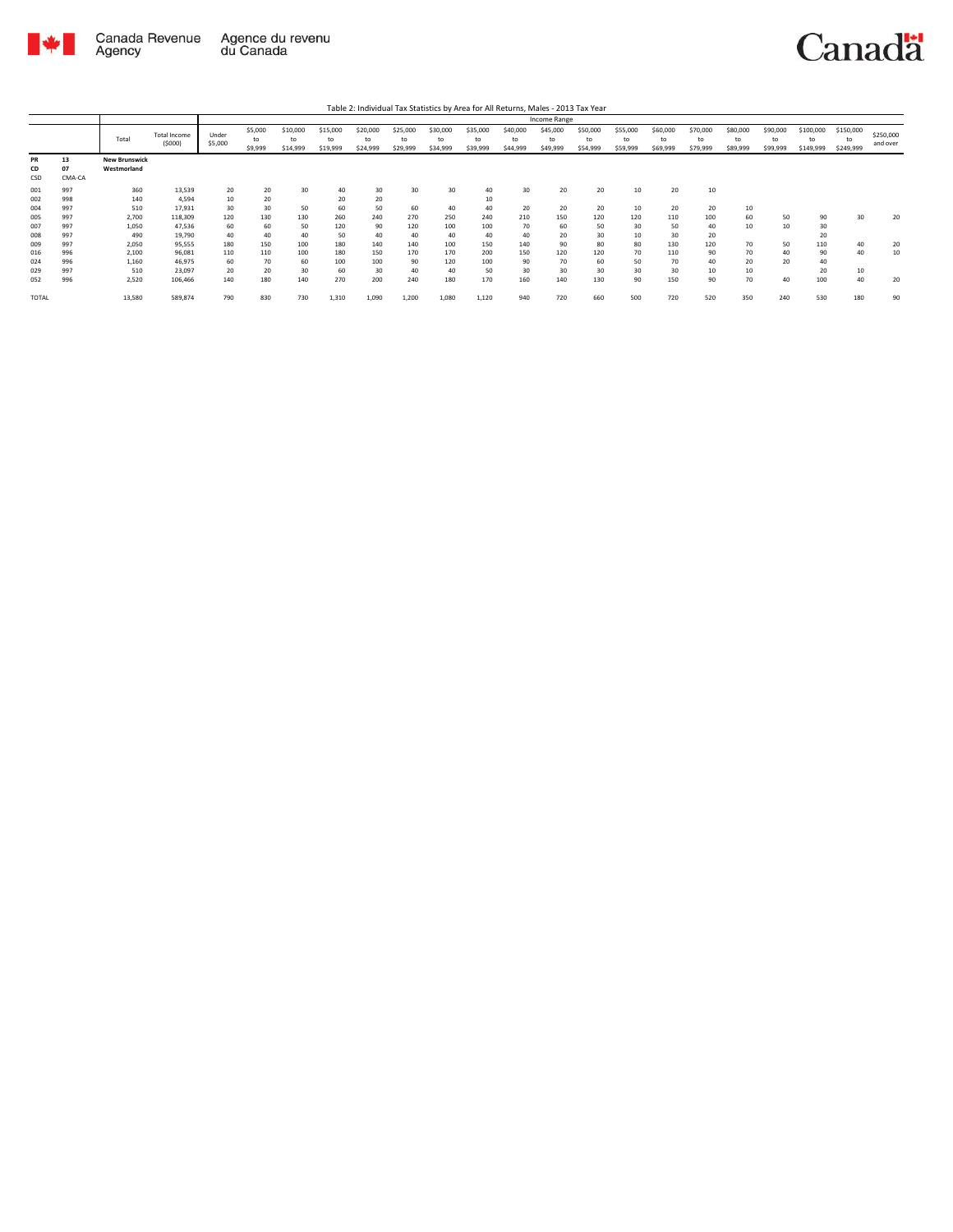

|                        |                    |                                     |                               |                  |                          |                            |                            |                            |                            |                            |                            |                            | Income Range               |                            |                            |                            |                            |                            |                            |                              |                              |                       |
|------------------------|--------------------|-------------------------------------|-------------------------------|------------------|--------------------------|----------------------------|----------------------------|----------------------------|----------------------------|----------------------------|----------------------------|----------------------------|----------------------------|----------------------------|----------------------------|----------------------------|----------------------------|----------------------------|----------------------------|------------------------------|------------------------------|-----------------------|
|                        |                    | Total                               | <b>Total Income</b><br>(5000) | Under<br>\$5,000 | \$5,000<br>to<br>\$9,999 | \$10,000<br>to<br>\$14,999 | \$15,000<br>to<br>\$19,999 | \$20,000<br>to<br>\$24,999 | \$25,000<br>to<br>\$29,999 | \$30,000<br>to<br>\$34,999 | \$35,000<br>to<br>\$39,999 | \$40,000<br>to<br>\$44,999 | \$45,000<br>to<br>\$49,999 | \$50,000<br>to<br>\$54,999 | \$55,000<br>to<br>\$59,999 | \$60,000<br>to<br>\$69,999 | \$70,000<br>to<br>\$79,999 | \$80,000<br>to<br>\$89,999 | \$90,000<br>to<br>\$99,999 | \$100,000<br>to<br>\$149,999 | \$150,000<br>to<br>\$249,999 | \$250,000<br>and over |
| <b>PR</b><br>CD<br>CSD | 13<br>07<br>CMA-CA | <b>New Brunswick</b><br>Westmorland |                               |                  |                          |                            |                            |                            |                            |                            |                            |                            |                            |                            |                            |                            |                            |                            |                            |                              |                              |                       |
| 001                    | 997                | 360                                 | 13,539                        | 20               | 20                       | 30                         | 40                         | 30                         | 30                         | 30                         | 40                         | 30                         | 20                         | 20                         | 10                         | 20                         | 10                         |                            |                            |                              |                              |                       |
| 002                    | 998                | 140                                 | 4.594                         | 10               | 20                       |                            | 20                         | 20                         |                            |                            | 10                         |                            |                            |                            |                            |                            |                            |                            |                            |                              |                              |                       |
| 004                    | 997                | 510                                 | 17,931                        | 30               | 30                       | 50                         | 60                         | 50                         | 60                         | 40                         | 40                         | 20                         | 20                         | 20                         | 10                         | 20                         | 20                         | 10                         |                            |                              |                              |                       |
| 005                    | 997                | 2,700                               | 118,309                       | 120              | 130                      | 130                        | 260                        | 240                        | 270                        | 250                        | 240                        | 210                        | 150                        | 120                        | 120                        | 110                        | 100                        | 60                         | 50                         | 90                           | 30                           | 20                    |
| 007                    | 997                | 1,050                               | 47,536                        | 60               | 60                       | 50                         | 120                        | 90                         | 120                        | 100                        | 100                        | 70                         | 60                         | 50                         | 30                         | 50                         | 40                         | 10                         | 10                         | 30                           |                              |                       |
| 008                    | 997                | 490                                 | 19,790                        | 40               | 40                       | 40                         | 50                         | 40                         | 40                         | 40                         | 40                         | 40                         | 20                         | 30                         | 10                         | 30                         | 20                         |                            |                            | 20                           |                              |                       |
| 009                    | 997                | 2,050                               | 95,555                        | 180              | 150                      | 100                        | 180                        | 140                        | 140                        | 100                        | 150                        | 140                        | 90                         | 80                         | 80                         | 130                        | 120                        | 70                         | 50                         | 110                          | 40                           | 20                    |
| 016                    | 996                | 2.100                               | 96,081                        | 110              | 110                      | 100                        | 180                        | 150                        | 170                        | 170                        | 200                        | 150                        | 120                        | 120                        | 70                         | 110                        | 90                         | 70                         | 40                         | 90                           | 40                           | 10                    |
| 024                    | 996                | 1,160                               | 46,975                        | 60               | 70                       | 60                         | 100                        | 100                        | 90                         | 120                        | 100                        | 90                         | 70                         | 60                         | 50                         | 70                         | 40                         | 20                         | 20                         | 40                           |                              |                       |
| 029                    | 997                | 510                                 | 23,097                        | 20               | 20                       | 30                         | 60                         | 30                         | 40                         | 40                         | 50                         | 30                         | 30                         | 30                         | 30                         | 30                         | 10                         | 10                         |                            | 20                           | 10                           |                       |
| 052                    | 996                | 2,520                               | 106,466                       | 140              | 180                      | 140                        | 270                        | 200                        | 240                        | 180                        | 170                        | 160                        | 140                        | 130                        | 90                         | 150                        | 90                         | 70                         | 40                         | 100                          | 40                           | 20                    |
| <b>TOTAL</b>           |                    | 13,580                              | 589,874                       | 790              | 830                      | 730                        | 1,310                      | 1,090                      | 1,200                      | 1,080                      | 1,120                      | 940                        | 720                        | 660                        | 500                        | 720                        | 520                        | 350                        | 240                        | 530                          | 180                          | 90                    |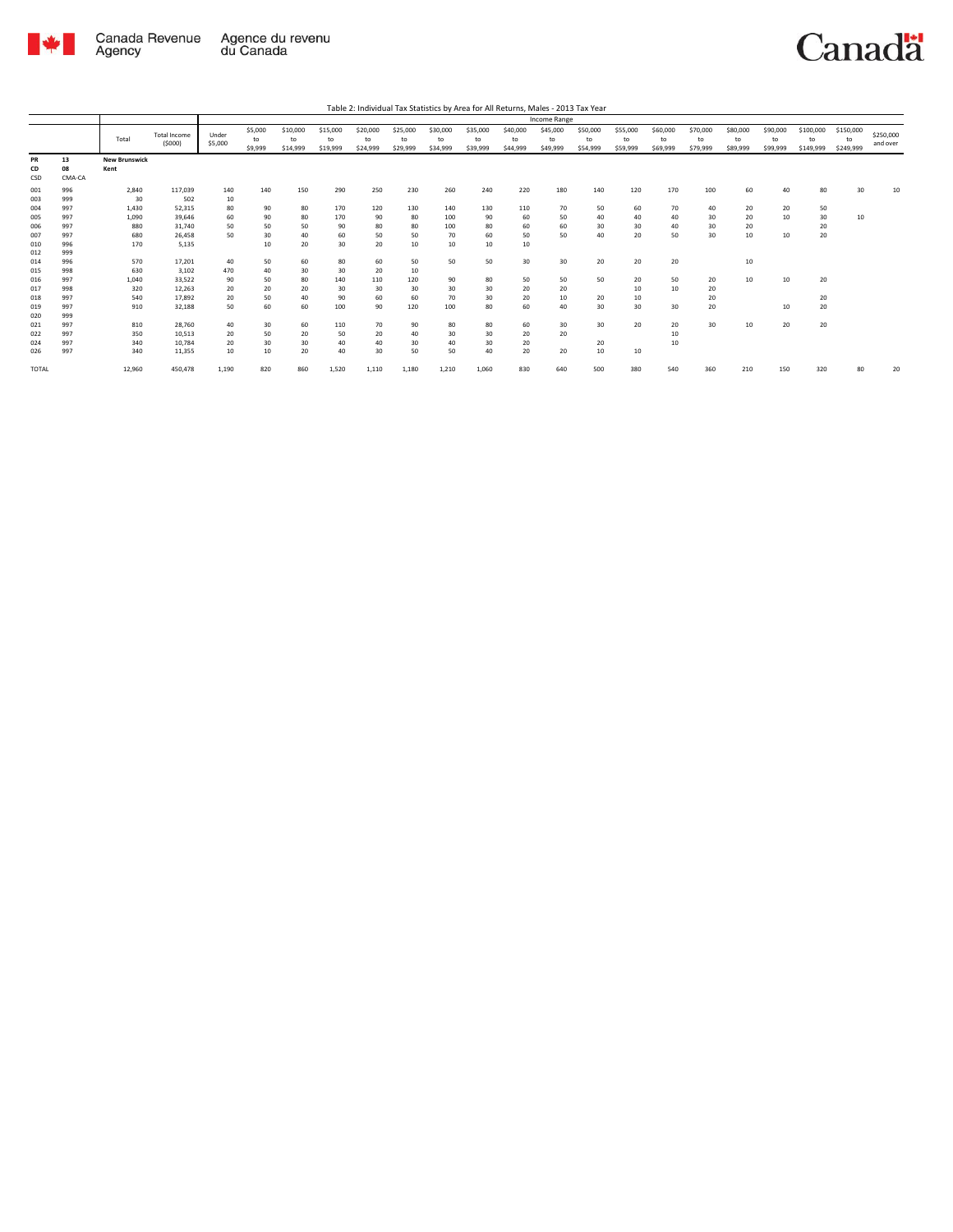

|              |        |                      |                               |                  |                          |                            |                            |                            |                            |                            |                            |                            | Income Range               |                            |                            |                            |                            |                            |                            |                              |                              |                       |
|--------------|--------|----------------------|-------------------------------|------------------|--------------------------|----------------------------|----------------------------|----------------------------|----------------------------|----------------------------|----------------------------|----------------------------|----------------------------|----------------------------|----------------------------|----------------------------|----------------------------|----------------------------|----------------------------|------------------------------|------------------------------|-----------------------|
|              |        | Total                | <b>Total Income</b><br>(5000) | Under<br>\$5,000 | \$5,000<br>to<br>\$9,999 | \$10,000<br>to<br>\$14,999 | \$15,000<br>to<br>\$19,999 | \$20,000<br>to<br>\$24,999 | \$25,000<br>to<br>\$29,999 | \$30,000<br>to<br>\$34,999 | \$35,000<br>to<br>\$39,999 | \$40,000<br>to<br>\$44,999 | \$45,000<br>to<br>\$49,999 | \$50,000<br>to<br>\$54,999 | \$55,000<br>to<br>\$59,999 | \$60,000<br>to<br>\$69,999 | \$70,000<br>to<br>\$79,999 | \$80,000<br>to<br>\$89,999 | \$90,000<br>to<br>\$99,999 | \$100,000<br>to<br>\$149,999 | \$150,000<br>to<br>\$249,999 | \$250,000<br>and over |
| PR           | 13     | <b>New Brunswick</b> |                               |                  |                          |                            |                            |                            |                            |                            |                            |                            |                            |                            |                            |                            |                            |                            |                            |                              |                              |                       |
| CD           | 08     | Kent                 |                               |                  |                          |                            |                            |                            |                            |                            |                            |                            |                            |                            |                            |                            |                            |                            |                            |                              |                              |                       |
| CSD          | CMA-CA |                      |                               |                  |                          |                            |                            |                            |                            |                            |                            |                            |                            |                            |                            |                            |                            |                            |                            |                              |                              |                       |
| 001          | 996    | 2,840                | 117,039                       | 140              | 140                      | 150                        | 290                        | 250                        | 230                        | 260                        | 240                        | 220                        | 180                        | 140                        | 120                        | 170                        | 100                        | 60                         | 40                         | 80                           | 30                           | 10                    |
| 003          | 999    | 30                   | 502                           | 10               |                          |                            |                            |                            |                            |                            |                            |                            |                            |                            |                            |                            |                            |                            |                            |                              |                              |                       |
| 004          | 997    | 1,430                | 52,315                        | 80               | 90                       | 80                         | 170                        | 120                        | 130                        | 140                        | 130                        | 110                        | 70                         | 50                         | 60                         | 70                         | 40                         | 20                         | 20                         | 50                           |                              |                       |
| 005          | 997    | 1,090                | 39,646                        | 60               | 90                       | 80                         | 170                        | 90                         | 80                         | 100                        | 90                         | 60                         | 50                         | 40                         | 40                         | 40                         | 30                         | 20                         | 10                         | 30                           | 10                           |                       |
| 006          | 997    | 880                  | 31,740                        | 50               | 50                       | 50                         | 90                         | 80                         | 80                         | 100                        | 80                         | 60                         | 60                         | 30                         | 30                         | 40                         | 30                         | 20                         |                            | 20                           |                              |                       |
| 007          | 997    | 680                  | 26,458                        | 50               | 30                       | 40                         | 60                         | 50                         | 50                         | 70                         | 60                         | 50                         | 50                         | 40                         | 20                         | 50                         | 30                         | 10                         | 10                         | 20                           |                              |                       |
| 010          | 996    | 170                  | 5,135                         |                  | 10                       | 20                         | 30                         | 20                         | 10                         | 10                         | 10                         | 10                         |                            |                            |                            |                            |                            |                            |                            |                              |                              |                       |
| 012          | 999    |                      |                               |                  |                          |                            |                            |                            |                            |                            |                            |                            |                            |                            |                            |                            |                            |                            |                            |                              |                              |                       |
| 014          | 996    | 570                  | 17,201                        | 40               | 50                       | 60                         | 80                         | 60                         | 50                         | 50                         | 50                         | 30                         | 30                         | 20                         | 20                         | 20                         |                            | 10                         |                            |                              |                              |                       |
| 015          | 998    | 630                  | 3,102                         | 470              | 40                       | 30                         | 30                         | 20                         | 10                         |                            |                            |                            |                            |                            |                            |                            |                            |                            |                            |                              |                              |                       |
| 016          | 997    | 1,040                | 33,522                        | 90               | 50                       | 80                         | 140                        | 110                        | 120                        | 90                         | 80                         | 50                         | 50                         | 50                         | 20                         | 50                         | 20                         | 10                         | 10                         | 20                           |                              |                       |
| 017          | 998    | 320                  | 12.263                        | 20               | 20                       | 20                         | 30                         | 30                         | 30                         | 30                         | 30                         | 20                         | 20                         |                            | 10                         | 10                         | 20                         |                            |                            |                              |                              |                       |
| 018          | 997    | 540                  | 17.892                        | 20               | 50                       | 40                         | 90                         | 60                         | 60                         | 70                         | 30                         | 20                         | 10                         | 20                         | 10                         |                            | 20                         |                            |                            | 20                           |                              |                       |
| 019          | 997    | 910                  | 32,188                        | 50               | 60                       | 60                         | 100                        | 90                         | 120                        | 100                        | 80                         | 60                         | 40                         | 30                         | 30                         | 30                         | 20                         |                            | 10                         | 20                           |                              |                       |
| 020          | 999    |                      |                               |                  |                          |                            |                            |                            |                            |                            |                            |                            |                            |                            |                            |                            |                            |                            |                            |                              |                              |                       |
| 021          | 997    | 810                  | 28,760                        | 40               | 30                       | 60                         | 110                        | 70                         | 90                         | 80                         | 80                         | 60                         | 30                         | 30                         | 20                         | 20                         | 30                         | 10                         | 20                         | 20                           |                              |                       |
| 022          | 997    | 350                  | 10,513                        | 20               | 50                       | 20                         | 50                         | 20                         | 40                         | 30                         | 30                         | 20                         | 20                         |                            |                            | 10                         |                            |                            |                            |                              |                              |                       |
| 024          | 997    | 340                  | 10.784                        | 20               | 30                       | 30                         | 40                         | 40                         | 30                         | 40                         | 30                         | 20                         |                            | 20                         |                            | 10                         |                            |                            |                            |                              |                              |                       |
| 026          | 997    | 340                  | 11,355                        | 10               | 10                       | 20                         | 40                         | 30                         | 50                         | 50                         | 40                         | 20                         | 20                         | 10                         | 10                         |                            |                            |                            |                            |                              |                              |                       |
| <b>TOTAL</b> |        | 12,960               | 450,478                       | 1,190            | 820                      | 860                        | 1,520                      | 1,110                      | 1,180                      | 1,210                      | 1,060                      | 830                        | 640                        | 500                        | 380                        | 540                        | 360                        | 210                        | 150                        | 320                          | 80                           | 20                    |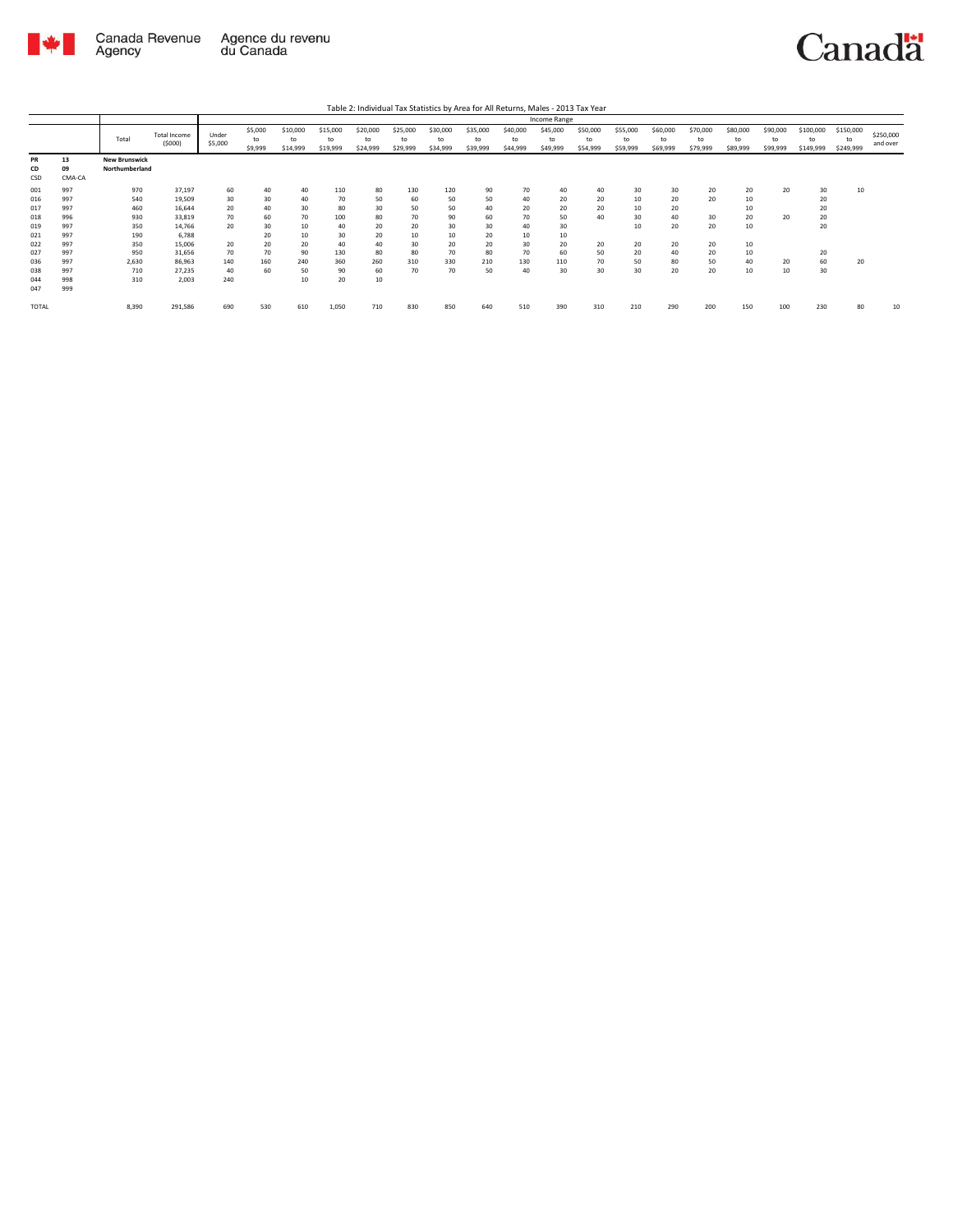

|                                                                                  |                                                                                  |                                                                             |                                                                                                          |                                                            |                                                           |                                                                 |                                                                    |                                                                 |                                                            |                                                            |                                                           |                                                           | Income Range                                              |                                              |                                                    |                                                    |                                              |                                                    |                            |                                              |                              |                       |
|----------------------------------------------------------------------------------|----------------------------------------------------------------------------------|-----------------------------------------------------------------------------|----------------------------------------------------------------------------------------------------------|------------------------------------------------------------|-----------------------------------------------------------|-----------------------------------------------------------------|--------------------------------------------------------------------|-----------------------------------------------------------------|------------------------------------------------------------|------------------------------------------------------------|-----------------------------------------------------------|-----------------------------------------------------------|-----------------------------------------------------------|----------------------------------------------|----------------------------------------------------|----------------------------------------------------|----------------------------------------------|----------------------------------------------------|----------------------------|----------------------------------------------|------------------------------|-----------------------|
|                                                                                  |                                                                                  | Total                                                                       | <b>Total Income</b><br>(5000)                                                                            | Under<br>\$5,000                                           | \$5,000<br>to<br>\$9,999                                  | \$10,000<br>to<br>\$14,999                                      | \$15,000<br>to<br>\$19,999                                         | \$20,000<br>to<br>\$24,999                                      | \$25,000<br>to<br>\$29,999                                 | \$30,000<br>to<br>\$34,999                                 | \$35,000<br>to<br>\$39,999                                | \$40,000<br>to<br>\$44,999                                | \$45,000<br>to<br>\$49,999                                | \$50,000<br>to<br>\$54,999                   | \$55,000<br>to<br>\$59,999                         | \$60,000<br>to<br>\$69,999                         | \$70,000<br>to<br>\$79,999                   | \$80,000<br>to<br>\$89,999                         | \$90,000<br>to<br>\$99,999 | \$100,000<br>to<br>\$149,999                 | \$150,000<br>to<br>\$249,999 | \$250,000<br>and over |
| PR<br>CD<br>CSD                                                                  | 13<br>09<br>CMA-CA                                                               | <b>New Brunswick</b><br>Northumberland                                      |                                                                                                          |                                                            |                                                           |                                                                 |                                                                    |                                                                 |                                                            |                                                            |                                                           |                                                           |                                                           |                                              |                                                    |                                                    |                                              |                                                    |                            |                                              |                              |                       |
| 001<br>016<br>017<br>018<br>019<br>021<br>022<br>027<br>036<br>038<br>044<br>047 | 997<br>997<br>997<br>996<br>997<br>997<br>997<br>997<br>997<br>997<br>998<br>999 | 970<br>540<br>460<br>930<br>350<br>190<br>350<br>950<br>2,630<br>710<br>310 | 37,197<br>19,509<br>16,644<br>33,819<br>14,766<br>6,788<br>15,006<br>31,656<br>86,963<br>27,235<br>2.003 | 60<br>30<br>20<br>70<br>20<br>20<br>70<br>140<br>40<br>240 | 40<br>30<br>40<br>60<br>30<br>20<br>20<br>70<br>160<br>60 | 40<br>40<br>30<br>70<br>10<br>10<br>20<br>90<br>240<br>50<br>10 | 110<br>70<br>80<br>100<br>40<br>30<br>40<br>130<br>360<br>90<br>20 | 80<br>50<br>30<br>80<br>20<br>20<br>40<br>80<br>260<br>60<br>10 | 130<br>60<br>50<br>70<br>20<br>10<br>30<br>80<br>310<br>70 | 120<br>50<br>50<br>90<br>30<br>10<br>20<br>70<br>330<br>70 | 90<br>50<br>40<br>60<br>30<br>20<br>20<br>80<br>210<br>50 | 70<br>40<br>20<br>70<br>40<br>10<br>30<br>70<br>130<br>40 | 40<br>20<br>20<br>50<br>30<br>10<br>20<br>60<br>110<br>30 | 40<br>20<br>20<br>40<br>20<br>50<br>70<br>30 | 30<br>10<br>10<br>30<br>10<br>20<br>20<br>50<br>30 | 30<br>20<br>20<br>40<br>20<br>20<br>40<br>80<br>20 | 20<br>20<br>30<br>20<br>20<br>20<br>50<br>20 | 20<br>10<br>10<br>20<br>10<br>10<br>10<br>40<br>10 | 20<br>20<br>20<br>10       | 30<br>20<br>20<br>20<br>20<br>20<br>60<br>30 | 10<br>20                     |                       |
| <b>TOTAL</b>                                                                     |                                                                                  | 8,390                                                                       | 291,586                                                                                                  | 690                                                        | 530                                                       | 610                                                             | 1,050                                                              | 710                                                             | 830                                                        | 850                                                        | 640                                                       | 510                                                       | 390                                                       | 310                                          | 210                                                | 290                                                | 200                                          | 150                                                | 100                        | 230                                          | 80                           | 10                    |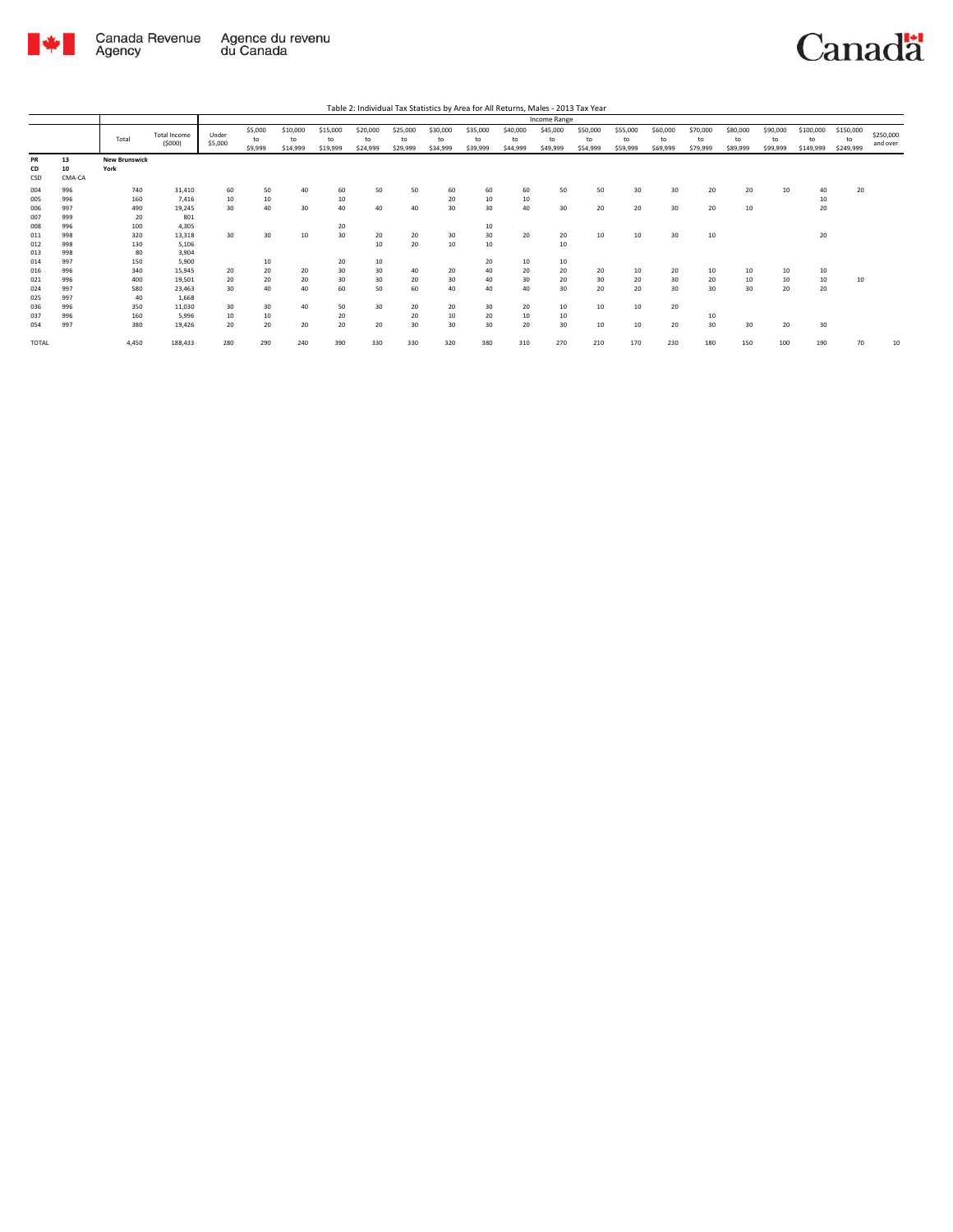

|                                        |                                        |                                       |                                                        |                      |                            |                            |                            |                            |                            |                            |                            |                            | Income Range               |                            |                            |                            |                            |                            |                            |                              |                              |                       |
|----------------------------------------|----------------------------------------|---------------------------------------|--------------------------------------------------------|----------------------|----------------------------|----------------------------|----------------------------|----------------------------|----------------------------|----------------------------|----------------------------|----------------------------|----------------------------|----------------------------|----------------------------|----------------------------|----------------------------|----------------------------|----------------------------|------------------------------|------------------------------|-----------------------|
|                                        |                                        | Total                                 | <b>Total Income</b><br>(5000)                          | Under<br>\$5,000     | \$5,000<br>to<br>\$9,999   | \$10,000<br>to<br>\$14,999 | \$15,000<br>to<br>\$19,999 | \$20,000<br>to<br>\$24,999 | \$25,000<br>to<br>\$29,999 | \$30,000<br>to<br>\$34,999 | \$35,000<br>to<br>\$39,999 | \$40,000<br>to<br>\$44,999 | \$45,000<br>to<br>\$49,999 | \$50,000<br>to<br>\$54,999 | \$55,000<br>to<br>\$59,999 | \$60,000<br>to<br>\$69,999 | \$70,000<br>to<br>\$79,999 | \$80,000<br>to<br>\$89,999 | \$90,000<br>to<br>\$99,999 | \$100,000<br>to<br>\$149,999 | \$150,000<br>to<br>\$249,999 | \$250,000<br>and over |
| PR<br>CD<br>CSD                        | 13<br>10<br>CMA-CA                     | <b>New Brunswick</b><br>York          |                                                        |                      |                            |                            |                            |                            |                            |                            |                            |                            |                            |                            |                            |                            |                            |                            |                            |                              |                              |                       |
| 004<br>005<br>006<br>007               | 996<br>996<br>997<br>999               | 740<br>160<br>490<br>20               | 31,410<br>7,416<br>19.245<br>801                       | 60<br>10<br>30       | 50<br>10<br>40             | 40<br>30                   | 60<br>10<br>40             | 50<br>40                   | 50<br>40                   | 60<br>20<br>30             | 60<br>10<br>30             | 60<br>10<br>40             | 50<br>30                   | 50<br>20                   | 30<br>20                   | 30<br>30                   | 20<br>20                   | 20<br>10                   | 10                         | 40<br>10<br>20               | 20                           |                       |
| 008<br>011<br>012<br>013               | 996<br>998<br>998<br>998               | 100<br>320<br>130<br>80               | 4,305<br>13,318<br>5,106<br>3,904                      | 30                   | 30                         | 10                         | 20<br>30                   | 20<br>10                   | 20<br>20                   | 30<br>10                   | 10<br>30<br>10             | 20                         | 20<br>10                   | 10                         | 10                         | 30                         | 10                         |                            |                            | 20                           |                              |                       |
| 014<br>016<br>021<br>024<br>025<br>036 | 997<br>996<br>996<br>997<br>997<br>996 | 150<br>340<br>400<br>580<br>40<br>350 | 5,900<br>15.945<br>19,501<br>23.463<br>1,668<br>11,030 | 20<br>20<br>30<br>30 | 10<br>20<br>20<br>40<br>30 | 20<br>20<br>40<br>40       | 20<br>30<br>30<br>60<br>50 | 10<br>30<br>30<br>50<br>30 | 40<br>20<br>60<br>20       | 20<br>30<br>40<br>20       | 20<br>40<br>40<br>40<br>30 | 10<br>20<br>30<br>40<br>20 | 10<br>20<br>20<br>30<br>10 | 20<br>30<br>20<br>10       | 10<br>20<br>20<br>10       | 20<br>30<br>30<br>20       | 10<br>20<br>30             | 10<br>10<br>30             | 10<br>10<br>20             | 10<br>10<br>20               | 10                           |                       |
| 037<br>054<br><b>TOTAL</b>             | 996<br>997                             | 160<br>380<br>4.450                   | 5.996<br>19,426<br>188,433                             | 10<br>20<br>280      | 10<br>20<br>290            | 20<br>240                  | 20<br>20<br>390            | 20<br>330                  | 20<br>30<br>330            | 10<br>30<br>320            | 20<br>30<br>380            | 10<br>20<br>310            | 10<br>30<br>270            | 10<br>210                  | 10<br>170                  | 20<br>230                  | 10<br>30<br>180            | 30<br>150                  | 20<br>100                  | 30<br>190                    | 70                           | 10                    |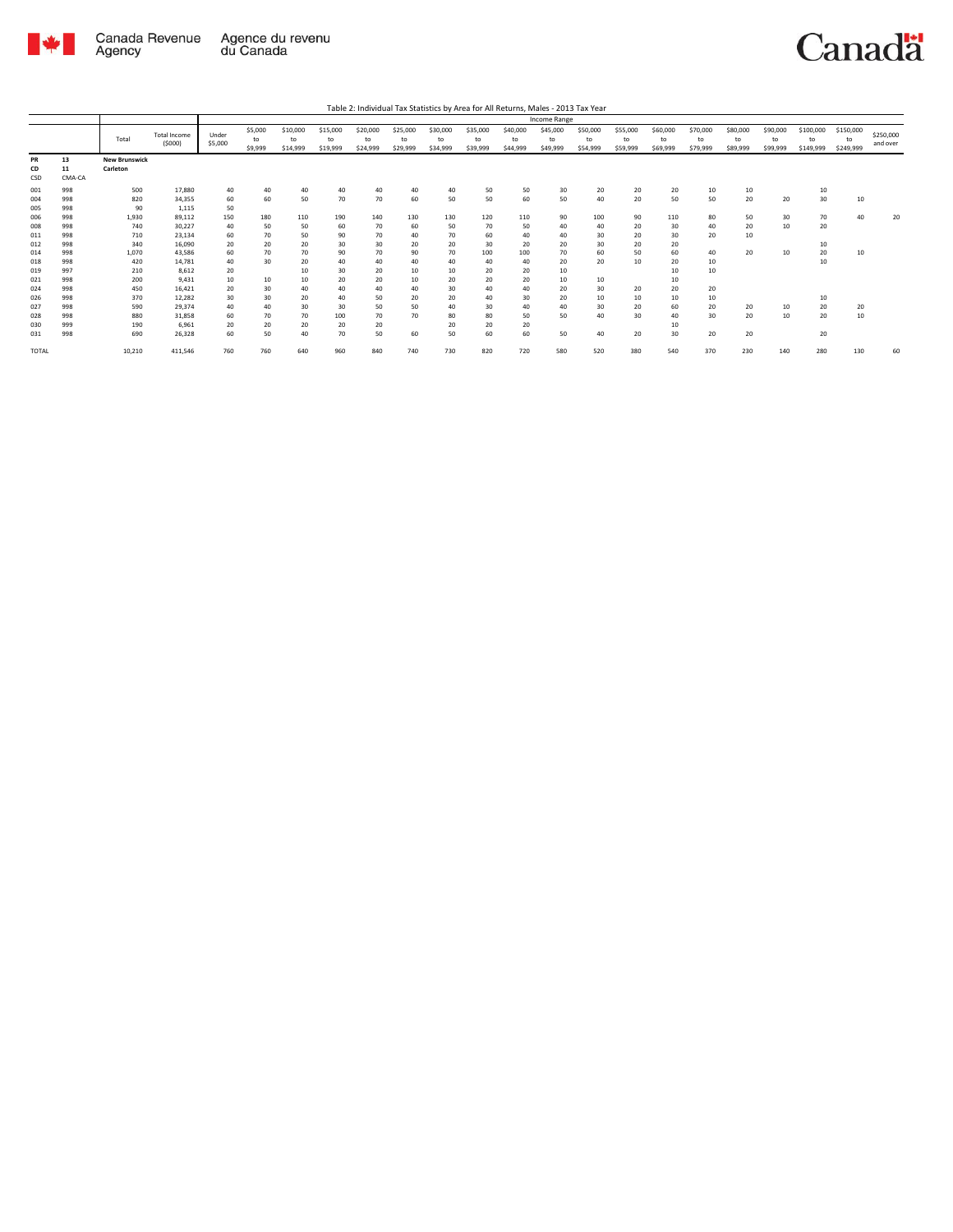

|                          |                          |                                  |                                     |                      |                          |                            |                            |                            |                            |                            |                            |                            | Income Range               |                            |                            |                            |                            |                            |                            |                              |                              |                       |
|--------------------------|--------------------------|----------------------------------|-------------------------------------|----------------------|--------------------------|----------------------------|----------------------------|----------------------------|----------------------------|----------------------------|----------------------------|----------------------------|----------------------------|----------------------------|----------------------------|----------------------------|----------------------------|----------------------------|----------------------------|------------------------------|------------------------------|-----------------------|
|                          |                          | Total                            | <b>Total Income</b><br>(5000)       | Under<br>\$5,000     | \$5,000<br>to<br>\$9,999 | \$10,000<br>to<br>\$14,999 | \$15,000<br>to<br>\$19,999 | \$20,000<br>to<br>\$24,999 | \$25,000<br>to<br>\$29,999 | \$30,000<br>to<br>\$34,999 | \$35,000<br>to<br>\$39,999 | \$40,000<br>to<br>\$44,999 | \$45,000<br>to<br>\$49,999 | \$50,000<br>to<br>\$54,999 | \$55,000<br>to<br>\$59,999 | \$60,000<br>to<br>\$69,999 | \$70,000<br>to<br>\$79,999 | \$80,000<br>to<br>\$89,999 | \$90,000<br>to<br>\$99,999 | \$100,000<br>to<br>\$149,999 | \$150,000<br>to<br>\$249,999 | \$250,000<br>and over |
| PR<br>CD<br>CSD          | 13<br>11<br>CMA-CA       | <b>New Brunswick</b><br>Carleton |                                     |                      |                          |                            |                            |                            |                            |                            |                            |                            |                            |                            |                            |                            |                            |                            |                            |                              |                              |                       |
| 001<br>004<br>005        | 998<br>998<br>998        | 500<br>820<br>90                 | 17,880<br>34.355<br>1,115           | 40<br>60<br>50       | 40<br>60                 | 40<br>50                   | 40<br>70                   | 40<br>70                   | 40<br>60                   | 40<br>50                   | 50<br>50                   | 50<br>60                   | 30<br>50                   | 20<br>40                   | 20<br>20                   | 20<br>50                   | 10<br>50                   | 10<br>20                   | 20                         | 10<br>30                     | 10                           |                       |
| 006<br>008<br>011        | 998<br>998<br>998        | 1,930<br>740<br>710              | 89,112<br>30,227<br>23.134          | 150<br>40<br>60      | 180<br>50<br>70          | 110<br>50<br>50            | 190<br>60<br>90            | 140<br>70<br>70            | 130<br>60<br>40            | 130<br>50<br>70            | 120<br>70<br>60            | 110<br>50<br>40            | 90<br>40<br>40             | 100<br>40<br>30            | 90<br>20<br>20             | 110<br>30<br>30            | 80<br>40<br>20             | 50<br>20<br>10             | 30<br>10                   | 70<br>20                     | 40                           | 20                    |
| 012<br>014<br>018        | 998<br>998<br>998        | 340<br>1.070<br>420              | 16.090<br>43.586<br>14.781          | 20<br>60<br>40       | 20<br>70<br>30           | 20<br>70<br>20             | 30<br>90<br>40             | 30<br>70<br>40             | 20<br>90<br>40             | 20<br>70<br>40             | 30<br>100<br>40            | 20<br>100<br>40            | 20<br>70<br>20             | 30<br>60<br>20             | 20<br>50<br>10             | 20<br>60<br>20             | 40<br>10                   | 20                         | 10                         | 10<br>20<br>10               | 10                           |                       |
| 019<br>021<br>024        | 997<br>998<br>998        | 210<br>200<br>450                | 8.612<br>9.431<br>16.421            | 20<br>10<br>20       | 10<br>30                 | 10<br>10<br>40             | 30<br>20<br>40             | 20<br>20<br>40             | 10<br>10<br>40             | 10<br>20<br>30             | 20<br>20<br>40             | 20<br>20<br>40             | 10<br>10<br>20             | 10<br>30                   | 20                         | 10<br>10<br>20             | 10<br>20                   |                            |                            |                              |                              |                       |
| 026<br>027<br>028<br>030 | 998<br>998<br>998<br>999 | 370<br>590<br>880<br>190         | 12,282<br>29,374<br>31.858<br>6.961 | 30<br>40<br>60<br>20 | 30<br>40<br>70<br>20     | 20<br>30<br>70<br>20       | 40<br>30<br>100<br>20      | 50<br>50<br>70<br>20       | 20<br>50<br>70             | 20<br>40<br>80<br>20       | 40<br>30<br>80<br>20       | 30<br>40<br>50<br>20       | 20<br>40<br>50             | 10<br>30<br>40             | 10<br>20<br>30             | 10<br>60<br>40<br>10       | 10<br>20<br>30             | 20<br>20                   | 10<br>10                   | 10<br>20<br>20               | 20<br>10                     |                       |
| 031<br>TOTAL             | 998                      | 690<br>10,210                    | 26,328<br>411,546                   | 60<br>760            | 50<br>760                | 40<br>640                  | 70<br>960                  | 50<br>840                  | 60<br>740                  | 50<br>730                  | 60<br>820                  | 60<br>720                  | 50<br>580                  | 40<br>520                  | 20<br>380                  | 30<br>540                  | 20<br>370                  | 20<br>230                  | 140                        | 20<br>280                    | 130                          | 60                    |
|                          |                          |                                  |                                     |                      |                          |                            |                            |                            |                            |                            |                            |                            |                            |                            |                            |                            |                            |                            |                            |                              |                              |                       |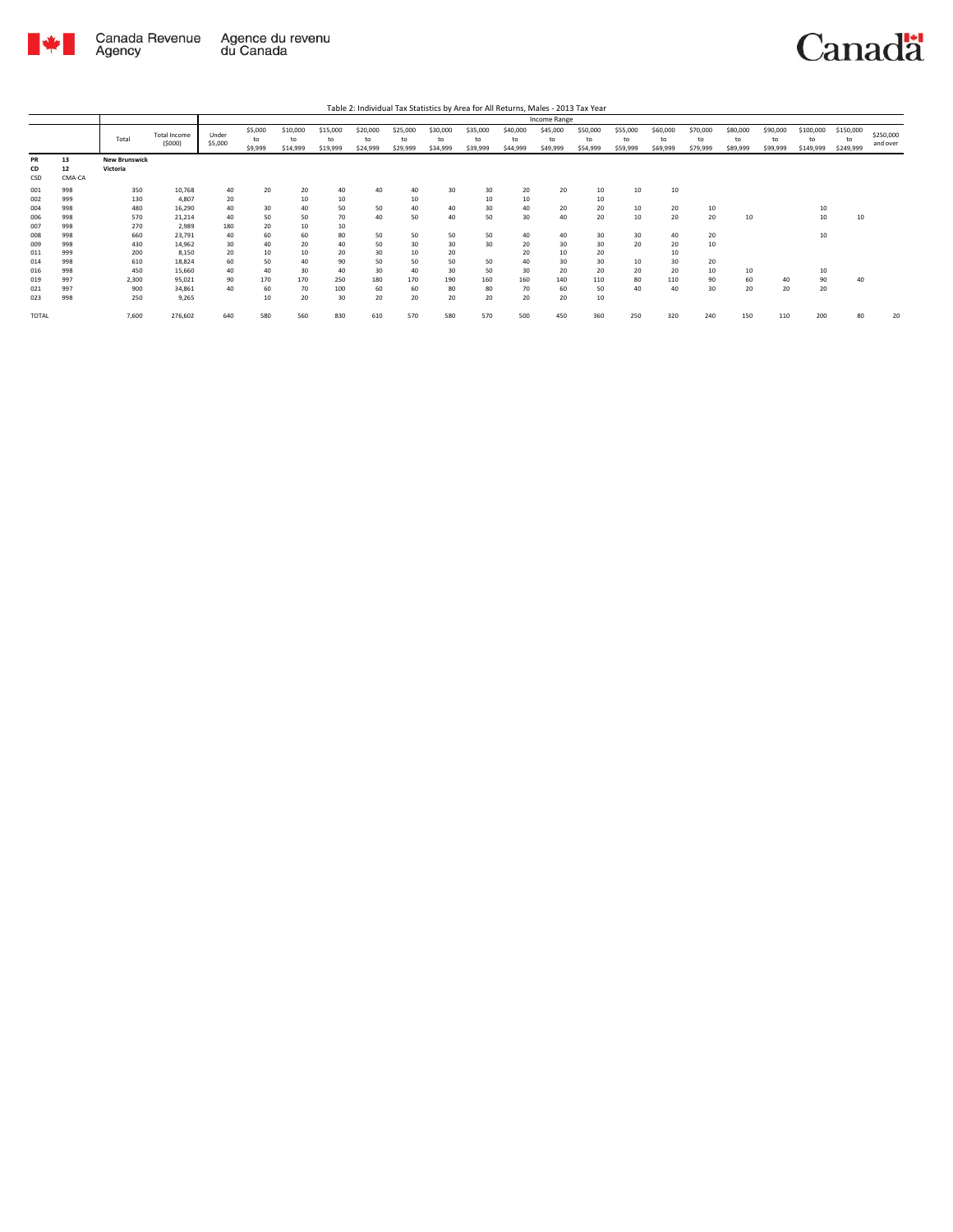

|                          |                          |                                  |                                      | Income Range         |                          |                            |                            |                            |                            |                            |                            |                            |                            |                            |                            |                            |                            |                            |                            |                              |                              |                       |
|--------------------------|--------------------------|----------------------------------|--------------------------------------|----------------------|--------------------------|----------------------------|----------------------------|----------------------------|----------------------------|----------------------------|----------------------------|----------------------------|----------------------------|----------------------------|----------------------------|----------------------------|----------------------------|----------------------------|----------------------------|------------------------------|------------------------------|-----------------------|
|                          |                          | Total                            | <b>Total Income</b><br>(5000)        | Under<br>\$5,000     | \$5,000<br>to<br>\$9,999 | \$10,000<br>to<br>\$14,999 | \$15,000<br>to<br>\$19,999 | \$20,000<br>to<br>\$24,999 | \$25,000<br>to<br>\$29,999 | \$30,000<br>to<br>\$34,999 | \$35,000<br>to<br>\$39,999 | \$40,000<br>to<br>\$44,999 | \$45,000<br>to<br>\$49,999 | \$50,000<br>to<br>\$54,999 | \$55,000<br>to<br>\$59,999 | \$60,000<br>to<br>\$69,999 | \$70,000<br>to<br>\$79,999 | \$80,000<br>to<br>\$89,999 | \$90,000<br>to<br>\$99,999 | \$100,000<br>to<br>\$149,999 | \$150,000<br>to<br>\$249,999 | \$250,000<br>and over |
| <b>PR</b><br>CD<br>CSD   | 13<br>12<br>CMA-CA       | <b>New Brunswick</b><br>Victoria |                                      |                      |                          |                            |                            |                            |                            |                            |                            |                            |                            |                            |                            |                            |                            |                            |                            |                              |                              |                       |
| 001<br>002<br>004        | 998<br>999<br>998        | 350<br>130<br>480                | 10,768<br>4,807<br>16,290            | 40<br>20<br>40       | 20<br>30                 | 20<br>10<br>40             | 40<br>10<br>50             | 40<br>50                   | 40<br>10<br>40             | 30<br>40                   | 30<br>10<br>30             | 20<br>10<br>40             | 20<br>20                   | 10<br>10<br>20             | 10<br>10                   | 10<br>20                   | 10                         |                            |                            | 10                           |                              |                       |
| 006<br>007<br>008        | 998<br>998<br>998        | 570<br>270<br>660                | 21,214<br>2,989<br>23,791            | 40<br>180<br>40      | 50<br>20<br>60           | 50<br>10<br>60             | 70<br>10<br>80             | 40<br>50                   | 50<br>50                   | 40<br>50                   | 50<br>50                   | 30<br>40                   | 40<br>40                   | 20<br>30                   | 10<br>30                   | 20<br>40                   | 20<br>20                   | 10                         |                            | 10<br>10                     | 10                           |                       |
| 009<br>011               | 998<br>999               | 430<br>200                       | 14,962<br>8,150                      | 30<br>20             | 40<br>10                 | 20<br>10                   | 40<br>20                   | 50<br>30                   | 30<br>10                   | 30<br>20                   | 30                         | 20<br>20                   | 30<br>10                   | 30<br>20                   | 20                         | 20<br>10                   | 10                         |                            |                            |                              |                              |                       |
| 014<br>016<br>019<br>021 | 998<br>998<br>997<br>997 | 610<br>450<br>2,300<br>900       | 18,824<br>15,660<br>95,021<br>34,861 | 60<br>40<br>90<br>40 | 50<br>40<br>170<br>60    | 40<br>30<br>170<br>70      | 90<br>40<br>250<br>100     | 50<br>30<br>180<br>60      | 50<br>40<br>170<br>60      | 50<br>30<br>190<br>80      | 50<br>50<br>160<br>80      | 40<br>30<br>160<br>70      | 30<br>20<br>140<br>60      | 30<br>20<br>110<br>50      | 10<br>20<br>80<br>40       | 30<br>20<br>110<br>40      | 20<br>10<br>90<br>30       | 10<br>60<br>20             | 40<br>20                   | 10<br>90<br>20               | 40                           |                       |
| 023<br><b>TOTAL</b>      | 998                      | 250<br>7.600                     | 9,265<br>276,602                     | 640                  | 10<br>580                | 20<br>560                  | 30<br>830                  | 20<br>610                  | 20<br>570                  | 20<br>580                  | 20<br>570                  | 20<br>500                  | 20<br>450                  | 10<br>360                  | 250                        | 320                        | 240                        | 150                        | 110                        | 200                          | 80                           | 20                    |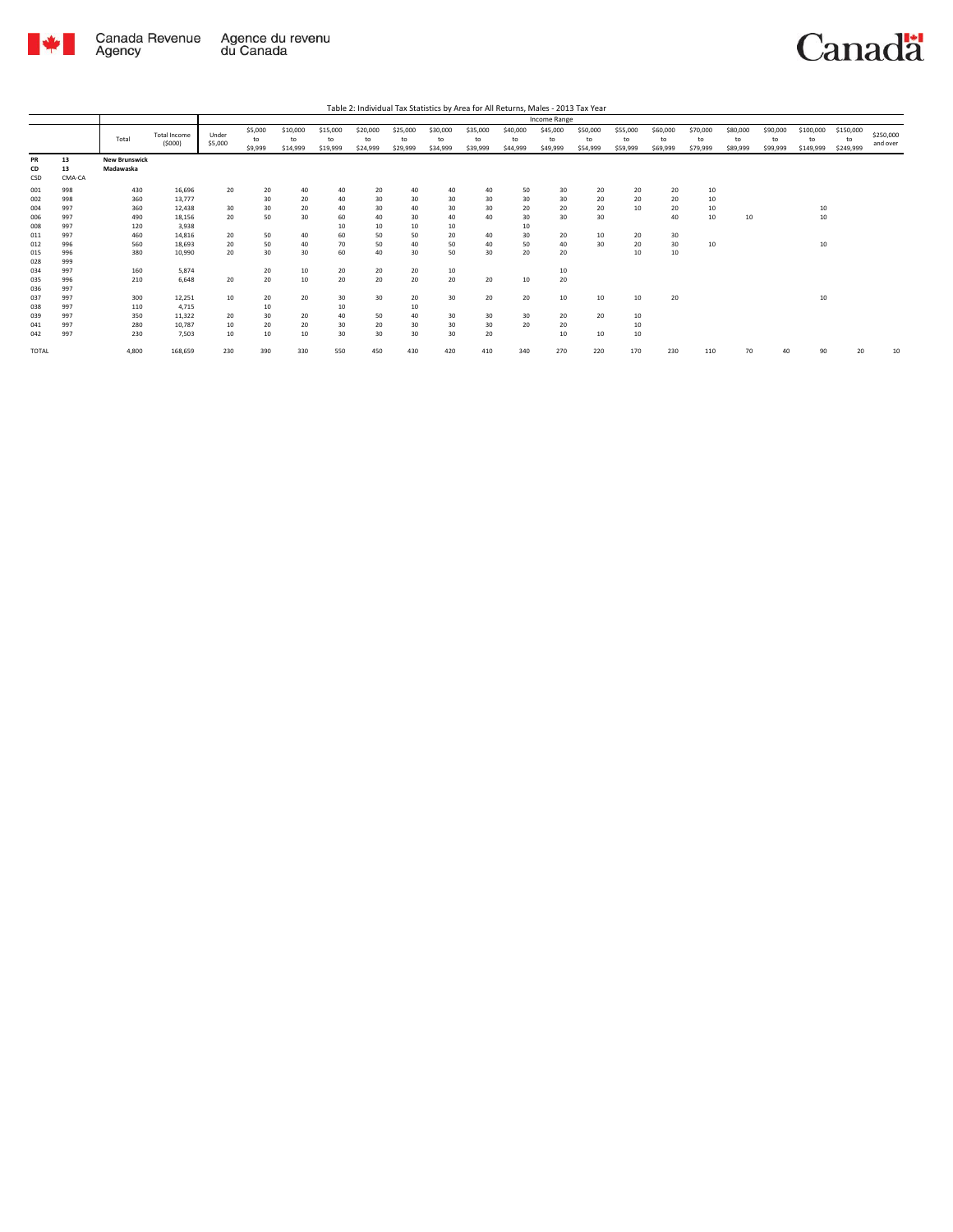

|                   |                    |                                   |                               | Income Range     |                          |                            |                            |                            |                            |                            |                            |                            |                            |                            |                            |                            |                            |                            |                            |                              |                              |                       |
|-------------------|--------------------|-----------------------------------|-------------------------------|------------------|--------------------------|----------------------------|----------------------------|----------------------------|----------------------------|----------------------------|----------------------------|----------------------------|----------------------------|----------------------------|----------------------------|----------------------------|----------------------------|----------------------------|----------------------------|------------------------------|------------------------------|-----------------------|
|                   |                    | Total                             | <b>Total Income</b><br>(5000) | Under<br>\$5,000 | \$5,000<br>to<br>\$9,999 | \$10,000<br>to<br>\$14,999 | \$15,000<br>to<br>\$19,999 | \$20,000<br>to<br>\$24,999 | \$25,000<br>to<br>\$29,999 | \$30,000<br>to<br>\$34,999 | \$35,000<br>to<br>\$39,999 | \$40,000<br>to<br>\$44,999 | \$45,000<br>to<br>\$49,999 | \$50,000<br>to<br>\$54,999 | \$55,000<br>to<br>\$59,999 | \$60,000<br>to<br>\$69,999 | \$70,000<br>to<br>\$79,999 | \$80,000<br>to<br>\$89,999 | \$90,000<br>to<br>\$99,999 | \$100,000<br>to<br>\$149,999 | \$150,000<br>to<br>\$249,999 | \$250,000<br>and over |
| PR<br>CD<br>CSD   | 13<br>13<br>CMA-CA | <b>New Brunswick</b><br>Madawaska |                               |                  |                          |                            |                            |                            |                            |                            |                            |                            |                            |                            |                            |                            |                            |                            |                            |                              |                              |                       |
| 001<br>002<br>004 | 998<br>998<br>997  | 430<br>360<br>360                 | 16,696<br>13,777<br>12,438    | 20<br>30         | 20<br>30<br>30           | 40<br>20<br>20             | 40<br>40<br>40             | 20<br>30<br>30             | 40<br>30<br>40             | 40<br>30<br>30             | 40<br>30<br>30             | 50<br>30<br>20             | 30<br>30<br>20             | 20<br>20<br>20             | 20<br>20<br>10             | 20<br>20<br>20             | 10<br>10<br>10             |                            |                            | 10                           |                              |                       |
| 006<br>008<br>011 | 997<br>997<br>997  | 490<br>120<br>460                 | 18,156<br>3,938<br>14,816     | 20<br>20         | 50<br>50                 | 30<br>40                   | 60<br>10<br>60             | 40<br>10<br>50             | 30<br>10<br>50             | 40<br>10<br>20             | 40<br>40                   | 30<br>10<br>30             | 30<br>20                   | 30<br>10                   | 20                         | 40<br>30                   | 10                         | 10                         |                            | 10                           |                              |                       |
| 012<br>015<br>028 | 996<br>996<br>999  | 560<br>380                        | 18.693<br>10.990              | 20<br>20         | 50<br>30                 | 40<br>30                   | 70<br>60                   | 50<br>40                   | 40<br>30                   | 50<br>50                   | 40<br>30                   | 50<br>20                   | 40<br>20                   | 30                         | 20<br>10                   | 30<br>10                   | 10                         |                            |                            | 10                           |                              |                       |
| 034<br>035<br>036 | 997<br>996<br>997  | 160<br>210                        | 5,874<br>6,648                | 20               | 20<br>20                 | 10<br>10                   | 20<br>20                   | 20<br>20                   | 20<br>20                   | 10<br>20                   | 20                         | 10                         | 10<br>20                   |                            |                            |                            |                            |                            |                            |                              |                              |                       |
| 037<br>038<br>039 | 997<br>997<br>997  | 300<br>110<br>350                 | 12,251<br>4,715<br>11,322     | 10<br>20         | 20<br>10<br>30           | 20<br>20                   | 30<br>10<br>40             | 30<br>50                   | 20<br>10<br>40             | 30<br>30                   | 20<br>30                   | 20<br>30                   | 10<br>20                   | 10<br>20                   | 10<br>10                   | 20                         |                            |                            |                            | 10                           |                              |                       |
| 041<br>042        | 997<br>997         | 280<br>230                        | 10.787<br>7,503               | 10<br>10         | 20<br>10                 | 20<br>10                   | 30<br>30                   | 20<br>30                   | 30<br>30                   | 30<br>30                   | 30<br>20                   | 20                         | 20<br>10                   | 10                         | 10<br>10                   |                            |                            |                            |                            |                              |                              |                       |
| <b>TOTAL</b>      |                    | 4.800                             | 168,659                       | 230              | 390                      | 330                        | 550                        | 450                        | 430                        | 420                        | 410                        | 340                        | 270                        | 220                        | 170                        | 230                        | 110                        | 70                         | 40                         | 90                           | 20                           | 10                    |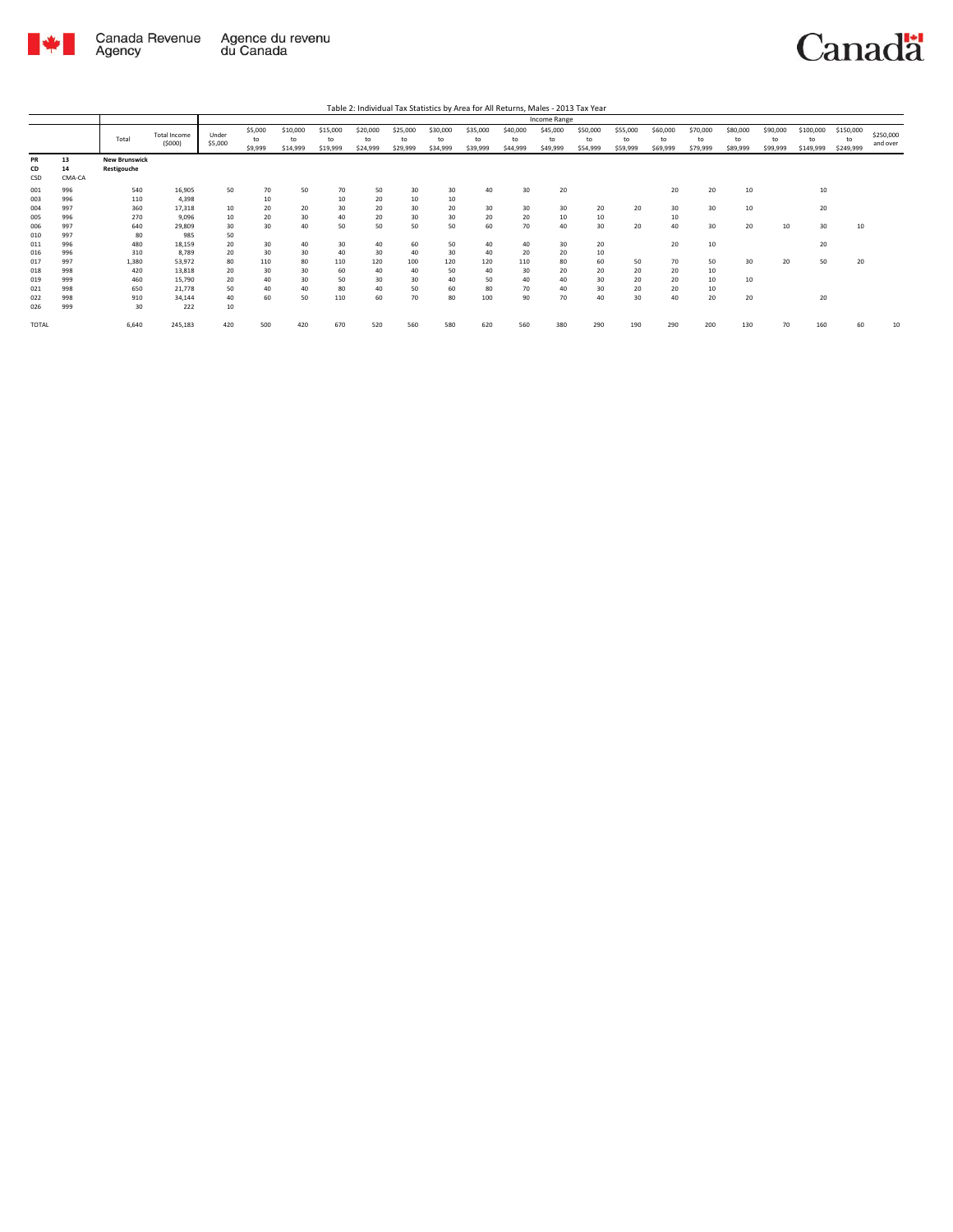

|                 |                    |                                     |                               | Income Range     |                          |                            |                            |                            |                            |                            |                            |                            |                            |                            |                            |                            |                            |                            |                            |                              |                              |                       |
|-----------------|--------------------|-------------------------------------|-------------------------------|------------------|--------------------------|----------------------------|----------------------------|----------------------------|----------------------------|----------------------------|----------------------------|----------------------------|----------------------------|----------------------------|----------------------------|----------------------------|----------------------------|----------------------------|----------------------------|------------------------------|------------------------------|-----------------------|
|                 |                    | Total                               | <b>Total Income</b><br>(5000) | Under<br>\$5,000 | \$5,000<br>to<br>\$9,999 | \$10,000<br>to<br>\$14,999 | \$15,000<br>to<br>\$19,999 | \$20,000<br>to<br>\$24,999 | \$25,000<br>to<br>\$29,999 | \$30,000<br>to<br>\$34,999 | \$35,000<br>to<br>\$39,999 | \$40,000<br>to<br>\$44,999 | \$45,000<br>to<br>\$49,999 | \$50,000<br>to<br>\$54,999 | \$55,000<br>to<br>\$59,999 | \$60,000<br>to<br>\$69,999 | \$70,000<br>to<br>\$79,999 | \$80,000<br>to<br>\$89,999 | \$90,000<br>to<br>\$99,999 | \$100,000<br>to<br>\$149,999 | \$150,000<br>to<br>\$249,999 | \$250,000<br>and over |
| PR<br>CD<br>CSD | 13<br>14<br>CMA-CA | <b>New Brunswick</b><br>Restigouche |                               |                  |                          |                            |                            |                            |                            |                            |                            |                            |                            |                            |                            |                            |                            |                            |                            |                              |                              |                       |
| 001<br>003      | 996<br>996         | 540<br>110                          | 16,905<br>4,398               | 50               | 70<br>10                 | 50                         | 70<br>10                   | 50<br>20                   | 30<br>10                   | 30<br>10                   | 40                         | 30                         | 20                         |                            |                            | 20                         | 20                         | 10                         |                            | 10                           |                              |                       |
| 004<br>005      | 997<br>996         | 360<br>270                          | 17,318<br>9,096               | 10<br>10         | 20<br>20                 | 20<br>30                   | 30<br>40                   | 20<br>20                   | 30<br>30                   | 20<br>30                   | 30<br>20                   | 30<br>20                   | 30<br>10                   | 20<br>10                   | 20                         | 30<br>10                   | 30                         | 10                         |                            | 20                           |                              |                       |
| 006<br>010      | 997<br>997         | 640<br>80                           | 29,809<br>985                 | 30<br>50         | 30                       | 40                         | 50                         | 50                         | 50                         | 50                         | 60                         | 70                         | 40                         | 30                         | 20                         | 40                         | 30                         | 20                         | 10                         | 30                           | 10                           |                       |
| 011<br>016      | 996<br>996         | 480<br>310                          | 18,159<br>8.789               | 20<br>20         | 30<br>30                 | 40<br>30                   | 30<br>40                   | 40<br>30                   | 60<br>40                   | 50<br>30                   | 40<br>40                   | 40<br>20                   | 30<br>20                   | 20<br>10                   |                            | 20                         | 10                         |                            |                            | 20                           |                              |                       |
| 017<br>018      | 997<br>998         | 1.380<br>420                        | 53,972<br>13,818              | 80<br>20         | 110<br>30                | 80<br>30                   | 110<br>60                  | 120<br>40                  | 100<br>40                  | 120<br>50                  | 120<br>40                  | 110<br>30                  | 80<br>20                   | 60<br>20                   | 50<br>20                   | 70<br>20                   | 50<br>10                   | 30                         | 20                         | 50                           | 20                           |                       |
| 019<br>021      | 999<br>998         | 460<br>650                          | 15,790<br>21,778              | 20<br>50         | 40<br>40                 | 30<br>40                   | 50<br>80                   | 30<br>40                   | 30<br>50                   | 40<br>60                   | 50<br>80                   | 40<br>70                   | 40<br>40                   | 30<br>30                   | 20<br>20                   | 20<br>20                   | 10<br>10                   | 10                         |                            |                              |                              |                       |
| 022<br>026      | 998<br>999         | 910<br>30                           | 34,144<br>222                 | 40<br>10         | 60                       | 50                         | 110                        | 60                         | 70                         | 80                         | 100                        | 90                         | 70                         | 40                         | 30                         | 40                         | 20                         | 20                         |                            | 20                           |                              |                       |
| <b>TOTAL</b>    |                    | 6.640                               | 245,183                       | 420              | 500                      | 420                        | 670                        | 520                        | 560                        | 580                        | 620                        | 560                        | 380                        | 290                        | 190                        | 290                        | 200                        | 130                        | 70                         | 160                          | 60                           | 10                    |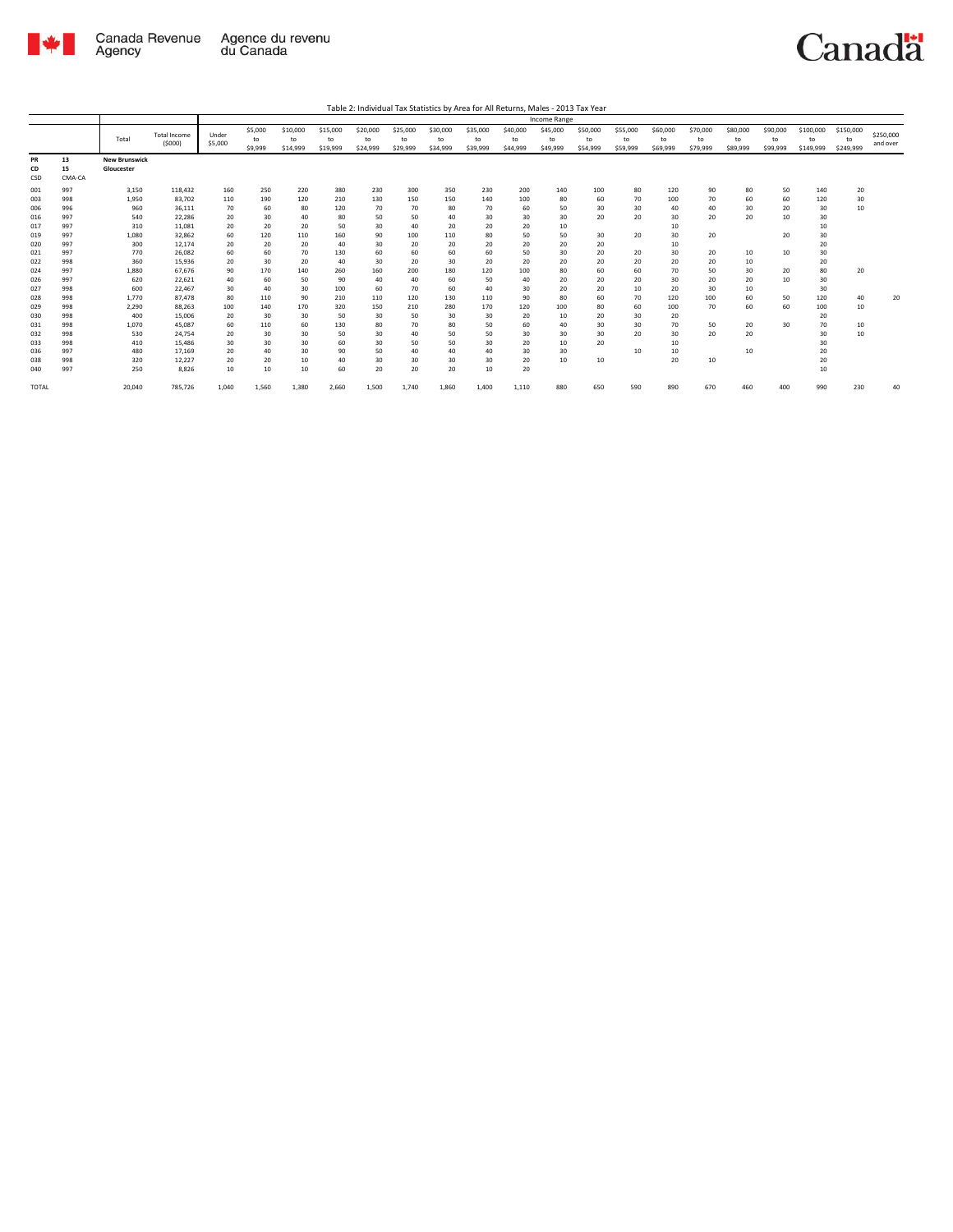

|                        |                    | Income Range                       |                               |                  |                          |                            |                            |                            |                            |                            |                            |                            |                            |                            |                            |                            |                            |                            |                            |                              |                              |                       |
|------------------------|--------------------|------------------------------------|-------------------------------|------------------|--------------------------|----------------------------|----------------------------|----------------------------|----------------------------|----------------------------|----------------------------|----------------------------|----------------------------|----------------------------|----------------------------|----------------------------|----------------------------|----------------------------|----------------------------|------------------------------|------------------------------|-----------------------|
|                        |                    | Total                              | <b>Total Income</b><br>(5000) | Under<br>\$5,000 | \$5,000<br>to<br>\$9,999 | \$10,000<br>to<br>\$14,999 | \$15,000<br>to<br>\$19,999 | \$20,000<br>to<br>\$24,999 | \$25,000<br>to<br>\$29,999 | \$30,000<br>to<br>\$34,999 | \$35,000<br>to<br>\$39,999 | \$40,000<br>to<br>\$44,999 | \$45,000<br>to<br>\$49,999 | \$50,000<br>to<br>\$54,999 | \$55,000<br>to<br>\$59,999 | \$60,000<br>to<br>\$69,999 | \$70,000<br>to<br>\$79,999 | \$80,000<br>to<br>\$89,999 | \$90,000<br>to<br>\$99,999 | \$100,000<br>to<br>\$149,999 | \$150,000<br>to<br>\$249,999 | \$250,000<br>and over |
| <b>PR</b><br>CD<br>CSD | 13<br>15<br>CMA-CA | <b>New Brunswick</b><br>Gloucester |                               |                  |                          |                            |                            |                            |                            |                            |                            |                            |                            |                            |                            |                            |                            |                            |                            |                              |                              |                       |
| 001                    | 997                | 3,150                              | 118,432                       | 160              | 250                      | 220                        | 380                        | 230                        | 300                        | 350                        | 230                        | 200                        | 140                        | 100                        | 80                         | 120                        | 90                         | 80                         | 50                         | 140                          | 20                           |                       |
| 003                    | 998                | 1,950                              | 83,702                        | 110              | 190                      | 120                        | 210                        | 130                        | 150                        | 150                        | 140                        | 100                        | 80                         | 60                         | 70                         | 100                        | 70                         | 60                         | 60                         | 120                          | 30                           |                       |
| 006                    | 996                | 960                                | 36.111                        | 70               | 60                       | 80                         | 120                        | 70                         | 70                         | 80                         | 70                         | 60                         | 50                         | 30                         | 30                         | 40                         | 40                         | 30                         | 20                         | 30                           | 10                           |                       |
| 016                    | 997                | 540                                | 22.286                        | 20               | 30                       | 40                         | 80                         | 50                         | 50                         | 40                         | 30                         | 30                         | 30                         | 20                         | 20                         | 30                         | 20                         | 20                         | 10                         | 30                           |                              |                       |
| 017                    | 997                | 310                                | 11,081                        | 20               | 20                       | 20                         | 50                         | 30                         | 40                         | 20                         | 20                         | 20                         | 10                         |                            |                            | 10                         |                            |                            |                            | 10                           |                              |                       |
| 019                    | 997                | 1,080                              | 32,862                        | 60               | 120                      | 110                        | 160                        | 90                         | 100                        | 110                        | 80                         | 50                         | 50                         | 30                         | 20                         | 30                         | 20                         |                            | 20                         | 30                           |                              |                       |
| 020                    | 997                | 300                                | 12,174                        | 20               | 20                       | 20                         | 40                         | 30                         | 20                         | 20                         | 20                         | 20                         | 20                         | 20                         |                            | 10                         |                            |                            |                            | 20                           |                              |                       |
| 021                    | 997                | 770                                | 26,082                        | 60               | 60                       | 70                         | 130                        | 60                         | 60                         | 60                         | 60                         | 50                         | 30                         | 20                         | 20                         | 30                         | 20                         | 10                         | 10                         | 30                           |                              |                       |
| 022                    | 998                | 360                                | 15.936                        | 20               | 30                       | 20                         | 40                         | 30                         | 20                         | 30                         | 20                         | 20                         | 20                         | 20                         | 20                         | 20                         | 20                         | 10                         |                            | 20                           |                              |                       |
| 024<br>026             | 997<br>997         | 1,880<br>620                       | 67,676<br>22,621              | 90<br>40         | 170<br>60                | 140<br>50                  | 260<br>90                  | 160<br>40                  | 200<br>40                  | 180<br>60                  | 120<br>50                  | 100<br>40                  | 80<br>20                   | 60<br>20                   | 60<br>20                   | 70<br>30                   | 50<br>20                   | 30<br>20                   | 20<br>10                   | 80<br>30                     | 20                           |                       |
| 027                    | 998                | 600                                | 22,467                        | 30               | 40                       | 30                         | 100                        | 60                         | 70                         | 60                         | 40                         | 30                         | 20                         | 20                         | 10                         | 20                         | 30                         | 10                         |                            | 30                           |                              |                       |
| 028                    | 998                | 1.770                              | 87.478                        | 80               | 110                      | 90                         | 210                        | 110                        | 120                        | 130                        | 110                        | 90                         | 80                         | 60                         | 70                         | 120                        | 100                        | 60                         | 50                         | 120                          | 40                           | 20                    |
| 029                    | 998                | 2,290                              | 88,263                        | 100              | 140                      | 170                        | 320                        | 150                        | 210                        | 280                        | 170                        | 120                        | 100                        | 80                         | 60                         | 100                        | 70                         | 60                         | 60                         | 100                          | 10                           |                       |
| 030                    | 998                | 400                                | 15,006                        | 20               | 30                       | 30                         | 50                         | 30                         | 50                         | 30                         | 30                         | 20                         | 10                         | 20                         | 30                         | 20                         |                            |                            |                            | 20                           |                              |                       |
| 031                    | 998                | 1,070                              | 45.087                        | 60               | 110                      | 60                         | 130                        | 80                         | 70                         | 80                         | 50                         | 60                         | 40                         | 30                         | 30                         | 70                         | 50                         | 20                         | 30                         | 70                           | 10                           |                       |
| 032                    | 998                | 530                                | 24.754                        | 20               | 30                       | 30                         | 50                         | 30                         | 40                         | 50                         | 50                         | 30                         | 30                         | 30                         | 20                         | 30                         | 20                         | 20                         |                            | 30                           | 10                           |                       |
| 033                    | 998                | 410                                | 15,486                        | 30               | 30                       | 30                         | 60                         | 30                         | 50                         | 50                         | 30                         | 20                         | 10                         | 20                         |                            | 10                         |                            |                            |                            | 30                           |                              |                       |
| 036                    | 997                | 480                                | 17.169                        | 20               | 40                       | 30                         | 90                         | 50                         | 40                         | 40                         | 40                         | 30                         | 30                         |                            | 10                         | 10                         |                            | 10                         |                            | 20                           |                              |                       |
| 038                    | 998                | 320                                | 12,227                        | 20               | 20                       | 10                         | 40                         | 30                         | 30                         | 30                         | 30                         | 20                         | 10                         | 10                         |                            | 20                         | 10                         |                            |                            | 20                           |                              |                       |
| 040                    | 997                | 250                                | 8,826                         | 10               | 10                       | 10                         | 60                         | 20                         | 20                         | 20                         | 10                         | 20                         |                            |                            |                            |                            |                            |                            |                            | 10                           |                              |                       |
| <b>TOTAL</b>           |                    | 20,040                             | 785,726                       | 1,040            | 1,560                    | 1,380                      | 2,660                      | 1,500                      | 1,740                      | 1,860                      | 1,400                      | 1,110                      | 880                        | 650                        | 590                        | 890                        | 670                        | 460                        | 400                        | 990                          | 230                          | 40                    |